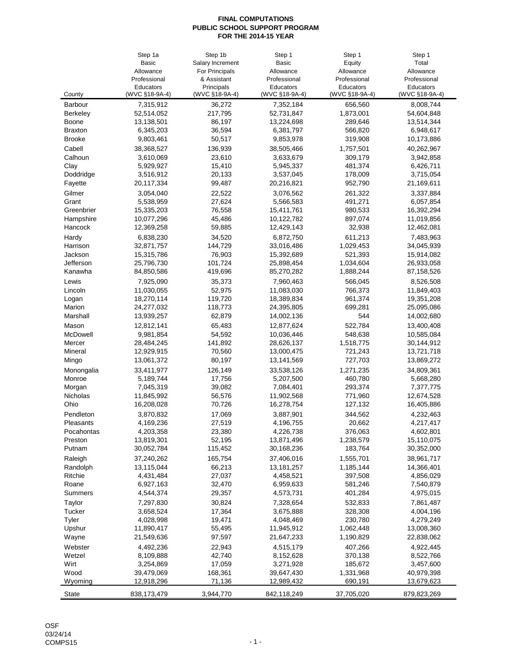|                                 | Step 1a                  | Step 1b                      | Step 1                   | Step 1                      | Step 1                   |
|---------------------------------|--------------------------|------------------------------|--------------------------|-----------------------------|--------------------------|
|                                 | <b>Basic</b>             | Salary Increment             | <b>Basic</b>             | Equity                      | Total                    |
|                                 | Allowance                | For Principals               | Allowance                | Allowance                   | Allowance                |
|                                 | Professional             | & Assistant                  | Professional             | Professional                | Professional             |
| County                          | Educators                | Principals<br>(WVC §18-9A-4) | Educators                | Educators<br>(WVC §18-9A-4) | Educators                |
|                                 | (WVC §18-9A-4)           |                              | (WVC §18-9A-4)           |                             | (WVC §18-9A-4)           |
| Barbour                         | 7,315,912<br>52,514,052  | 36,272<br>217,795            | 7,352,184<br>52,731,847  | 656,560<br>1,873,001        | 8,008,744<br>54,604,848  |
| <b>Berkeley</b><br><b>Boone</b> | 13,138,501               | 86,197                       | 13,224,698               | 289,646                     | 13,514,344               |
| <b>Braxton</b>                  | 6,345,203                | 36,594                       | 6,381,797                | 566,820                     | 6,948,617                |
| <b>Brooke</b>                   | 9,803,461                | 50,517                       | 9,853,978                | 319,908                     | 10,173,886               |
|                                 | 38,368,527               |                              |                          |                             | 40,262,967               |
| Cabell<br>Calhoun               |                          | 136,939<br>23,610            | 38,505,466<br>3,633,679  | 1,757,501<br>309,179        |                          |
| Clay                            | 3,610,069<br>5,929,927   | 15,410                       | 5,945,337                | 481,374                     | 3,942,858<br>6,426,711   |
| Doddridge                       | 3,516,912                | 20,133                       | 3,537,045                | 178,009                     | 3,715,054                |
| Fayette                         | 20,117,334               | 99,487                       | 20,216,821               | 952,790                     | 21,169,611               |
|                                 |                          |                              |                          |                             |                          |
| Gilmer                          | 3,054,040<br>5,538,959   | 22,522<br>27,624             | 3,076,562                | 261,322<br>491,271          | 3,337,884<br>6,057,854   |
| Grant<br>Greenbrier             | 15,335,203               | 76,558                       | 5,566,583<br>15,411,761  | 980,533                     | 16,392,294               |
| Hampshire                       | 10,077,296               | 45,486                       | 10,122,782               | 897,074                     | 11,019,856               |
| Hancock                         | 12,369,258               | 59,885                       | 12,429,143               | 32,938                      | 12,462,081               |
|                                 |                          |                              |                          |                             |                          |
| Hardy                           | 6,838,230<br>32,871,757  | 34,520<br>144,729            | 6,872,750                | 611,213                     | 7,483,963                |
| Harrison<br>Jackson             | 15,315,786               | 76,903                       | 33,016,486<br>15,392,689 | 1,029,453<br>521,393        | 34,045,939<br>15,914,082 |
| Jefferson                       | 25,796,730               | 101,724                      | 25,898,454               | 1,034,604                   | 26,933,058               |
| Kanawha                         | 84,850,586               | 419,696                      | 85,270,282               | 1,888,244                   | 87,158,526               |
|                                 |                          |                              |                          |                             |                          |
| Lewis<br>Lincoln                | 7,925,090                | 35,373                       | 7,960,463                | 566,045                     | 8,526,508                |
|                                 | 11,030,055               | 52,975<br>119,720            | 11,083,030               | 766,373                     | 11,849,403<br>19,351,208 |
| Logan<br>Marion                 | 18,270,114<br>24,277,032 | 118,773                      | 18,389,834<br>24,395,805 | 961,374<br>699,281          | 25,095,086               |
| Marshall                        | 13,939,257               | 62,879                       | 14,002,136               | 544                         | 14,002,680               |
|                                 |                          |                              |                          |                             |                          |
| Mason                           | 12,812,141               | 65,483                       | 12,877,624               | 522,784                     | 13,400,408               |
| McDowell<br>Mercer              | 9,981,854<br>28,484,245  | 54,592<br>141,892            | 10,036,446<br>28,626,137 | 548,638<br>1,518,775        | 10,585,084<br>30,144,912 |
| Mineral                         | 12,929,915               | 70,560                       | 13,000,475               | 721,243                     | 13,721,718               |
| Mingo                           | 13,061,372               | 80,197                       | 13,141,569               | 727,703                     | 13,869,272               |
| Monongalia                      | 33,411,977               | 126,149                      | 33,538,126               | 1,271,235                   | 34,809,361               |
| Monroe                          | 5,189,744                | 17,756                       | 5,207,500                | 460,780                     | 5,668,280                |
| Morgan                          | 7,045,319                | 39,082                       | 7,084,401                | 293,374                     | 7,377,775                |
| Nicholas                        | 11,845,992               | 56,576                       | 11,902,568               | 771,960                     | 12,674,528               |
| Ohio                            | 16,208,028               | 70,726                       | 16,278,754               | 127,132                     | 16,405,886               |
| Pendleton                       | 3,870,832                | 17,069                       | 3,887,901                | 344,562                     | 4,232,463                |
| Pleasants                       | 4.169.236                | 27,519                       | 4,196,755                | 20,662                      | 4,217,417                |
| Pocahontas                      | 4,203,358                | 23,380                       | 4,226,738                | 376,063                     | 4,602,801                |
| Preston                         | 13,819,301               | 52,195                       | 13,871,496               | 1,238,579                   | 15,110,075               |
| Putnam                          | 30,052,784               | 115,452                      | 30,168,236               | 183,764                     | 30,352,000               |
| Raleigh                         | 37,240,262               | 165,754                      | 37,406,016               | 1,555,701                   | 38,961,717               |
| Randolph                        | 13,115,044               | 66,213                       | 13,181,257               | 1,185,144                   | 14,366,401               |
| Ritchie                         | 4,431,484                | 27,037                       | 4,458,521                | 397,508                     | 4,856,029                |
| Roane                           | 6,927,163                | 32,470                       | 6,959,633                | 581,246                     | 7,540,879                |
| Summers                         | 4,544,374                | 29,357                       | 4,573,731                | 401,284                     | 4,975,015                |
| Taylor                          | 7,297,830                | 30,824                       | 7,328,654                | 532,833                     | 7,861,487                |
| Tucker                          | 3,658,524                | 17,364                       | 3,675,888                | 328,308                     | 4,004,196                |
| Tyler                           | 4,028,998                | 19,471                       | 4,048,469                | 230,780                     | 4,279,249                |
| Upshur                          | 11,890,417               | 55,495                       | 11,945,912               | 1,062,448                   | 13,008,360               |
| Wayne                           | 21,549,636               | 97,597                       | 21,647,233               | 1,190,829                   | 22,838,062               |
| Webster                         | 4,492,236                | 22,943                       | 4,515,179                | 407,266                     | 4,922,445                |
| Wetzel                          | 8,109,888                | 42,740                       | 8,152,628                | 370,138                     | 8,522,766                |
| Wirt                            | 3,254,869                | 17,059                       | 3,271,928                | 185,672                     | 3,457,600                |
| Wood                            | 39,479,069               | 168,361                      | 39,647,430               | 1,331,968                   | 40,979,398               |
| Wyoming                         | 12,918,296               | 71,136                       | 12,989,432               | 690,191                     | 13,679,623               |
|                                 |                          |                              |                          |                             |                          |
| State                           | 838,173,479              | 3,944,770                    | 842,118,249              | 37,705,020                  | 879,823,269              |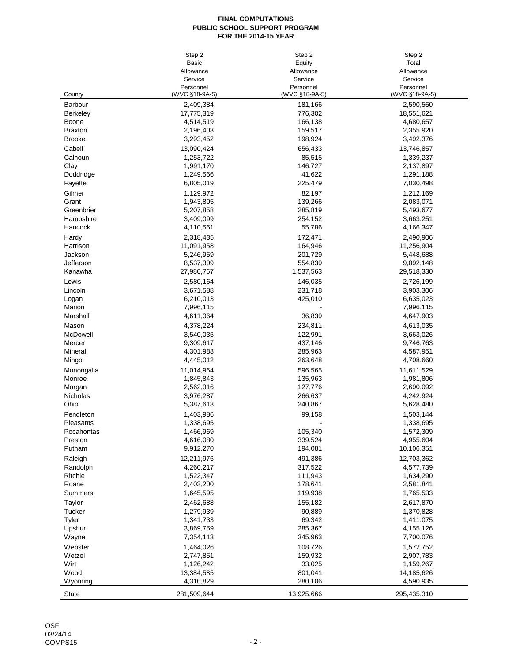|                       | Step 2                      | Step 2                      | Step 2                      |
|-----------------------|-----------------------------|-----------------------------|-----------------------------|
|                       | <b>Basic</b>                | Equity                      | Total                       |
|                       | Allowance                   | Allowance                   | Allowance                   |
|                       | Service                     | Service                     | Service                     |
| County                | Personnel<br>(WVC §18-9A-5) | Personnel<br>(WVC §18-9A-5) | Personnel<br>(WVC §18-9A-5) |
| Barbour               | 2,409,384                   | 181,166                     | 2,590,550                   |
| <b>Berkeley</b>       | 17,775,319                  | 776,302                     | 18,551,621                  |
| Boone                 | 4,514,519                   | 166,138                     | 4,680,657                   |
| <b>Braxton</b>        | 2,196,403                   | 159,517                     | 2,355,920                   |
| <b>Brooke</b>         | 3,293,452                   | 198,924                     | 3,492,376                   |
| Cabell                | 13,090,424                  | 656,433                     | 13,746,857                  |
| Calhoun               | 1,253,722                   | 85,515                      | 1,339,237                   |
| Clay                  | 1,991,170                   | 146,727                     | 2,137,897                   |
| Doddridge             | 1,249,566                   | 41,622                      | 1,291,188                   |
| Fayette               | 6,805,019                   | 225,479                     | 7,030,498                   |
| Gilmer                | 1,129,972                   | 82,197                      | 1,212,169                   |
| Grant                 | 1,943,805                   | 139,266                     | 2,083,071                   |
| Greenbrier            | 5,207,858                   | 285,819                     | 5,493,677                   |
| Hampshire             | 3,409,099                   | 254,152                     | 3,663,251                   |
| Hancock               | 4,110,561                   | 55,786                      | 4,166,347                   |
| Hardy                 | 2,318,435                   | 172,471                     | 2,490,906                   |
| Harrison              | 11,091,958                  | 164,946                     | 11,256,904                  |
| Jackson               | 5,246,959                   | 201,729                     | 5,448,688                   |
| Jefferson             | 8,537,309                   | 554,839                     | 9,092,148                   |
| Kanawha               | 27,980,767                  | 1,537,563                   | 29,518,330                  |
| Lewis                 | 2,580,164                   | 146,035                     | 2,726,199                   |
| Lincoln               | 3,671,588                   | 231,718                     | 3,903,306                   |
| Logan                 | 6,210,013                   | 425,010                     | 6,635,023                   |
| Marion                | 7,996,115                   |                             | 7,996,115                   |
| Marshall              | 4,611,064                   | 36,839                      | 4,647,903                   |
| Mason                 | 4,378,224                   | 234,811                     | 4,613,035                   |
| McDowell              | 3,540,035                   | 122,991                     | 3,663,026                   |
| Mercer                | 9,309,617                   | 437,146                     | 9,746,763                   |
| Mineral               | 4,301,988                   | 285,963                     | 4,587,951                   |
| Mingo                 | 4,445,012                   | 263,648                     | 4,708,660                   |
| Monongalia            | 11,014,964                  | 596,565                     | 11,611,529                  |
| Monroe                | 1,845,843                   | 135,963                     | 1,981,806                   |
| Morgan                | 2,562,316                   | 127,776                     | 2,690,092                   |
| Nicholas<br>Ohio      | 3,976,287                   | 266,637                     | 4,242,924                   |
|                       | 5,387,613                   | 240,867                     | 5,628,480                   |
| Pendleton             | 1,403,986                   | 99,158                      | 1,503,144                   |
| Pleasants             | 1,338,695                   |                             | 1,338,695                   |
| Pocahontas<br>Preston | 1,466,969<br>4,616,080      | 105,340<br>339,524          | 1,572,309<br>4,955,604      |
| Putnam                | 9,912,270                   | 194,081                     | 10,106,351                  |
|                       | 12,211,976                  | 491,386                     |                             |
| Raleigh<br>Randolph   | 4,260,217                   | 317,522                     | 12,703,362<br>4,577,739     |
| Ritchie               | 1,522,347                   | 111,943                     | 1,634,290                   |
| Roane                 | 2,403,200                   | 178,641                     | 2,581,841                   |
| Summers               | 1,645,595                   | 119,938                     | 1,765,533                   |
| Taylor                | 2,462,688                   | 155,182                     | 2,617,870                   |
| Tucker                | 1,279,939                   | 90,889                      | 1,370,828                   |
| Tyler                 | 1,341,733                   | 69,342                      | 1,411,075                   |
| Upshur                | 3,869,759                   | 285,367                     | 4,155,126                   |
| Wayne                 | 7,354,113                   | 345,963                     | 7,700,076                   |
| Webster               | 1,464,026                   | 108,726                     | 1,572,752                   |
| Wetzel                | 2,747,851                   | 159,932                     | 2,907,783                   |
| Wirt                  | 1,126,242                   | 33,025                      | 1,159,267                   |
| Wood                  | 13,384,585                  | 801,041                     | 14,185,626                  |
| Wyoming               | 4,310,829                   | 280,106                     | 4,590,935                   |
| State                 | 281,509,644                 | 13,925,666                  | 295,435,310                 |
|                       |                             |                             |                             |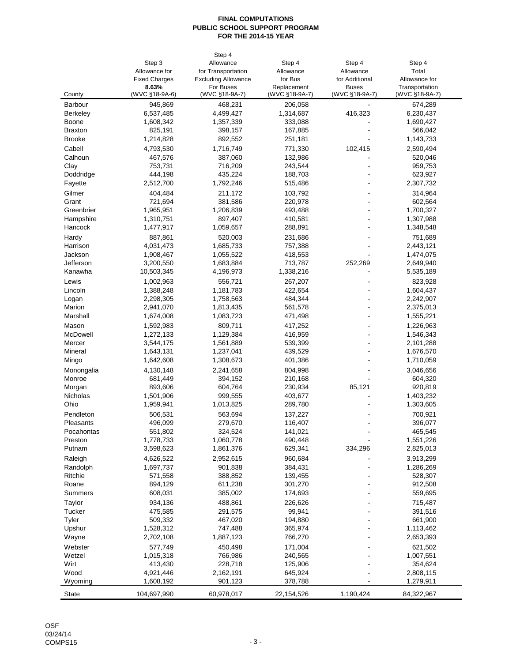|                 |                      | Step 4                     |                |                |                |
|-----------------|----------------------|----------------------------|----------------|----------------|----------------|
|                 | Step 3               | Allowance                  | Step 4         | Step 4         | Step 4         |
|                 | Allowance for        | for Transportation         | Allowance      | Allowance      | Total          |
|                 | <b>Fixed Charges</b> | <b>Excluding Allowance</b> | for Bus        | for Additional | Allowance for  |
|                 | 8.63%                | For Buses                  | Replacement    | <b>Buses</b>   | Transportation |
| County          | (WVC §18-9A-6)       | (WVC §18-9A-7)             | (WVC §18-9A-7) | (WVC §18-9A-7) | (WVC §18-9A-7) |
| Barbour         | 945,869              | 468,231                    | 206,058        |                | 674,289        |
| <b>Berkeley</b> | 6,537,485            | 4,499,427                  | 1,314,687      | 416,323        | 6,230,437      |
| Boone           | 1,608,342            | 1,357,339                  | 333,088        |                | 1,690,427      |
| <b>Braxton</b>  | 825,191              | 398,157                    | 167,885        |                | 566,042        |
| <b>Brooke</b>   | 1,214,828            | 892,552                    | 251,181        |                | 1,143,733      |
| Cabell          | 4,793,530            | 1,716,749                  | 771,330        | 102,415        | 2,590,494      |
| Calhoun         | 467,576              | 387,060                    | 132,986        |                | 520,046        |
| Clay            | 753,731              | 716,209                    | 243,544        |                | 959,753        |
| Doddridge       | 444,198              | 435,224                    | 188,703        |                | 623,927        |
| Fayette         | 2,512,700            | 1,792,246                  | 515,486        |                | 2,307,732      |
| Gilmer          | 404,484              | 211,172                    | 103,792        |                | 314,964        |
| Grant           | 721,694              | 381,586                    | 220,978        | ٠              | 602,564        |
| Greenbrier      | 1,965,951            | 1,206,839                  | 493,488        |                | 1,700,327      |
| Hampshire       | 1,310,751            | 897,407                    | 410,581        |                | 1,307,988      |
| Hancock         | 1,477,917            | 1,059,657                  | 288,891        |                | 1,348,548      |
| Hardy           | 887,861              | 520,003                    | 231,686        |                | 751,689        |
| Harrison        | 4,031,473            | 1,685,733                  | 757,388        | ÷.             | 2,443,121      |
| Jackson         | 1,908,467            | 1,055,522                  | 418,553        |                | 1,474,075      |
| Jefferson       | 3,200,550            | 1,683,884                  | 713,787        | 252,269        | 2,649,940      |
| Kanawha         | 10,503,345           | 4,196,973                  | 1,338,216      |                | 5,535,189      |
| Lewis           | 1,002,963            | 556,721                    | 267,207        |                | 823,928        |
| Lincoln         | 1,388,248            | 1,181,783                  | 422,654        |                | 1,604,437      |
| Logan           | 2,298,305            | 1,758,563                  | 484,344        |                | 2,242,907      |
| Marion          | 2,941,070            | 1,813,435                  | 561,578        |                | 2,375,013      |
| Marshall        | 1,674,008            | 1,083,723                  | 471,498        |                | 1,555,221      |
| Mason           | 1,592,983            | 809,711                    | 417,252        |                | 1,226,963      |
| McDowell        | 1,272,133            | 1,129,384                  | 416,959        |                | 1,546,343      |
| Mercer          | 3,544,175            | 1,561,889                  | 539,399        |                | 2,101,288      |
| Mineral         | 1,643,131            | 1,237,041                  | 439,529        |                | 1,676,570      |
| Mingo           | 1,642,608            | 1,308,673                  | 401,386        |                | 1,710,059      |
| Monongalia      | 4,130,148            | 2,241,658                  | 804,998        |                | 3,046,656      |
| Monroe          | 681,449              | 394,152                    | 210,168        | ÷              | 604,320        |
| Morgan          | 893,606              | 604,764                    | 230,934        | 85,121         | 920,819        |
| Nicholas        | 1,501,906            | 999,555                    | 403,677        |                | 1,403,232      |
| Ohio            | 1,959,941            | 1,013,825                  | 289,780        |                | 1,303,605      |
| Pendleton       | 506,531              | 563,694                    | 137,227        |                | 700,921        |
| Pleasants       | 496,099              | 279,670                    | 116,407        |                | 396,077        |
| Pocahontas      | 551,802              | 324,524                    | 141,021        |                | 465,545        |
| Preston         | 1,778,733            | 1,060,778                  | 490,448        |                | 1,551,226      |
| Putnam          | 3,598,623            | 1,861,376                  | 629,341        | 334,296        | 2,825,013      |
| Raleigh         | 4,626,522            | 2,952,615                  | 960,684        |                | 3,913,299      |
| Randolph        | 1,697,737            | 901,838                    | 384,431        |                | 1,286,269      |
| Ritchie         | 571,558              | 388,852                    | 139,455        |                | 528,307        |
| Roane           | 894,129              | 611,238                    | 301,270        |                | 912,508        |
| Summers         | 608,031              | 385,002                    | 174,693        |                | 559,695        |
| Taylor          | 934,136              | 488,861                    | 226,626        |                | 715,487        |
| Tucker          | 475,585              | 291,575                    | 99,941         |                | 391,516        |
| Tyler           | 509,332              | 467,020                    | 194,880        |                | 661,900        |
| Upshur          | 1,528,312            | 747,488                    | 365,974        |                | 1,113,462      |
| Wayne           | 2,702,108            | 1,887,123                  | 766,270        |                | 2,653,393      |
| Webster         | 577,749              | 450,498                    | 171,004        |                | 621,502        |
| Wetzel          | 1,015,318            | 766,986                    | 240,565        |                | 1,007,551      |
| Wirt            | 413,430              | 228,718                    | 125,906        |                | 354,624        |
| Wood            | 4,921,446            | 2,162,191                  | 645,924        |                | 2,808,115      |
| Wyoming         | 1,608,192            | 901,123                    | 378,788        |                | 1,279,911      |
| <b>State</b>    | 104,697,990          | 60,978,017                 | 22,154,526     | 1,190,424      | 84,322,967     |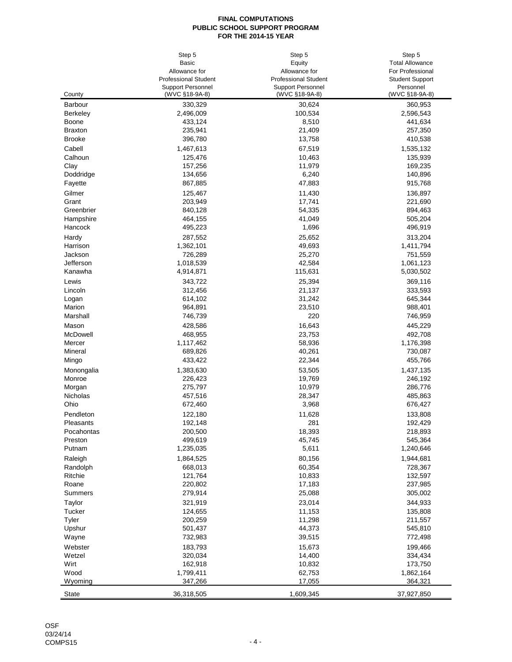| <b>Basic</b><br><b>Total Allowance</b><br>Equity<br>Allowance for<br>For Professional<br>Allowance for<br><b>Professional Student</b><br><b>Professional Student</b><br><b>Student Support</b><br><b>Support Personnel</b><br><b>Support Personnel</b><br>Personnel<br>(WVC §18-9A-8)<br>(WVC §18-9A-8)<br>(WVC §18-9A-8)<br>County<br>330,329<br>30,624<br>360,953<br><b>Barbour</b><br>2,496,009<br>100,534<br>2,596,543<br><b>Berkeley</b><br>433,124<br>441,634<br>Boone<br>8,510<br>235,941<br>21,409<br>257,350<br><b>Braxton</b><br><b>Brooke</b><br>396,780<br>13,758<br>410,538<br>Cabell<br>1,467,613<br>67,519<br>1,535,132<br>Calhoun<br>125,476<br>10,463<br>135,939<br>Clay<br>157,256<br>11,979<br>169,235<br>134,656<br>6,240<br>140,896<br>Doddridge<br>867,885<br>47,883<br>915,768<br>Fayette<br>Gilmer<br>125,467<br>11,430<br>136,897<br>Grant<br>203,949<br>17,741<br>221,690<br>54,335<br>Greenbrier<br>840,128<br>894,463<br>464,155<br>41,049<br>505,204<br>Hampshire<br>Hancock<br>495,223<br>1,696<br>496,919<br>Hardy<br>287,552<br>25,652<br>313,204<br>1,362,101<br>49,693<br>1,411,794<br>Harrison<br>Jackson<br>726,289<br>25,270<br>751,559<br>Jefferson<br>1,018,539<br>42,584<br>1,061,123<br>4,914,871<br>115,631<br>Kanawha<br>5,030,502<br>Lewis<br>343,722<br>25,394<br>369,116<br>312,456<br>21,137<br>333,593<br>Lincoln<br>614,102<br>31,242<br>645,344<br>Logan<br>964,891<br>23,510<br>988,401<br>Marion<br>746,739<br>220<br>746,959<br>Marshall<br>Mason<br>428,586<br>16,643<br>445,229<br>McDowell<br>468,955<br>23,753<br>492,708<br>Mercer<br>1,117,462<br>58,936<br>1,176,398<br>40,261<br>Mineral<br>689,826<br>730,087<br>433,422<br>22,344<br>455,766<br>Mingo<br>1,383,630<br>53,505<br>1,437,135<br>Monongalia<br>226,423<br>19,769<br>Monroe<br>246,192<br>275,797<br>10,979<br>286,776<br>Morgan<br>457,516<br>28,347<br>485,863<br>Nicholas<br>Ohio<br>672,460<br>3,968<br>676,427<br>Pendleton<br>122,180<br>11,628<br>133,808<br>281<br>Pleasants<br>192,148<br>192,429<br>218,893<br>Pocahontas<br>200,500<br>18,393<br>Preston<br>499,619<br>45,745<br>545,364<br>Putnam<br>1,235,035<br>5,611<br>1,240,646<br>Raleigh<br>1,864,525<br>80,156<br>1,944,681<br>Randolph<br>668,013<br>60,354<br>728,367<br>Ritchie<br>121,764<br>10,833<br>132,597<br>Roane<br>220,802<br>17,183<br>237,985<br>Summers<br>279,914<br>25,088<br>305,002<br>321,919<br>23,014<br>Taylor<br>344,933<br>Tucker<br>124,655<br>11,153<br>135,808<br>Tyler<br>200,259<br>11,298<br>211,557<br>Upshur<br>501,437<br>44,373<br>545,810<br>Wayne<br>732,983<br>39,515<br>772,498<br>Webster<br>183,793<br>15,673<br>199,466<br>Wetzel<br>320,034<br>14,400<br>334,434<br>Wirt<br>162,918<br>10,832<br>173,750<br>Wood<br>1,799,411<br>62,753<br>1,862,164<br>Wyoming<br>347,266<br>17,055<br>364,321<br>36,318,505<br>1,609,345<br>37,927,850<br><b>State</b> | Step 5 | Step 5 | Step 5 |
|---------------------------------------------------------------------------------------------------------------------------------------------------------------------------------------------------------------------------------------------------------------------------------------------------------------------------------------------------------------------------------------------------------------------------------------------------------------------------------------------------------------------------------------------------------------------------------------------------------------------------------------------------------------------------------------------------------------------------------------------------------------------------------------------------------------------------------------------------------------------------------------------------------------------------------------------------------------------------------------------------------------------------------------------------------------------------------------------------------------------------------------------------------------------------------------------------------------------------------------------------------------------------------------------------------------------------------------------------------------------------------------------------------------------------------------------------------------------------------------------------------------------------------------------------------------------------------------------------------------------------------------------------------------------------------------------------------------------------------------------------------------------------------------------------------------------------------------------------------------------------------------------------------------------------------------------------------------------------------------------------------------------------------------------------------------------------------------------------------------------------------------------------------------------------------------------------------------------------------------------------------------------------------------------------------------------------------------------------------------------------------------------------------------------------------------------------------------------------------------------------------------------------------------------------------------------------------------------------------------------------------------------------------------------------------------------------------------------------------------------------------------------------------------------------------------------------------------------------------------------------------------------------|--------|--------|--------|
|                                                                                                                                                                                                                                                                                                                                                                                                                                                                                                                                                                                                                                                                                                                                                                                                                                                                                                                                                                                                                                                                                                                                                                                                                                                                                                                                                                                                                                                                                                                                                                                                                                                                                                                                                                                                                                                                                                                                                                                                                                                                                                                                                                                                                                                                                                                                                                                                                                                                                                                                                                                                                                                                                                                                                                                                                                                                                                   |        |        |        |
|                                                                                                                                                                                                                                                                                                                                                                                                                                                                                                                                                                                                                                                                                                                                                                                                                                                                                                                                                                                                                                                                                                                                                                                                                                                                                                                                                                                                                                                                                                                                                                                                                                                                                                                                                                                                                                                                                                                                                                                                                                                                                                                                                                                                                                                                                                                                                                                                                                                                                                                                                                                                                                                                                                                                                                                                                                                                                                   |        |        |        |
|                                                                                                                                                                                                                                                                                                                                                                                                                                                                                                                                                                                                                                                                                                                                                                                                                                                                                                                                                                                                                                                                                                                                                                                                                                                                                                                                                                                                                                                                                                                                                                                                                                                                                                                                                                                                                                                                                                                                                                                                                                                                                                                                                                                                                                                                                                                                                                                                                                                                                                                                                                                                                                                                                                                                                                                                                                                                                                   |        |        |        |
|                                                                                                                                                                                                                                                                                                                                                                                                                                                                                                                                                                                                                                                                                                                                                                                                                                                                                                                                                                                                                                                                                                                                                                                                                                                                                                                                                                                                                                                                                                                                                                                                                                                                                                                                                                                                                                                                                                                                                                                                                                                                                                                                                                                                                                                                                                                                                                                                                                                                                                                                                                                                                                                                                                                                                                                                                                                                                                   |        |        |        |
|                                                                                                                                                                                                                                                                                                                                                                                                                                                                                                                                                                                                                                                                                                                                                                                                                                                                                                                                                                                                                                                                                                                                                                                                                                                                                                                                                                                                                                                                                                                                                                                                                                                                                                                                                                                                                                                                                                                                                                                                                                                                                                                                                                                                                                                                                                                                                                                                                                                                                                                                                                                                                                                                                                                                                                                                                                                                                                   |        |        |        |
|                                                                                                                                                                                                                                                                                                                                                                                                                                                                                                                                                                                                                                                                                                                                                                                                                                                                                                                                                                                                                                                                                                                                                                                                                                                                                                                                                                                                                                                                                                                                                                                                                                                                                                                                                                                                                                                                                                                                                                                                                                                                                                                                                                                                                                                                                                                                                                                                                                                                                                                                                                                                                                                                                                                                                                                                                                                                                                   |        |        |        |
|                                                                                                                                                                                                                                                                                                                                                                                                                                                                                                                                                                                                                                                                                                                                                                                                                                                                                                                                                                                                                                                                                                                                                                                                                                                                                                                                                                                                                                                                                                                                                                                                                                                                                                                                                                                                                                                                                                                                                                                                                                                                                                                                                                                                                                                                                                                                                                                                                                                                                                                                                                                                                                                                                                                                                                                                                                                                                                   |        |        |        |
|                                                                                                                                                                                                                                                                                                                                                                                                                                                                                                                                                                                                                                                                                                                                                                                                                                                                                                                                                                                                                                                                                                                                                                                                                                                                                                                                                                                                                                                                                                                                                                                                                                                                                                                                                                                                                                                                                                                                                                                                                                                                                                                                                                                                                                                                                                                                                                                                                                                                                                                                                                                                                                                                                                                                                                                                                                                                                                   |        |        |        |
|                                                                                                                                                                                                                                                                                                                                                                                                                                                                                                                                                                                                                                                                                                                                                                                                                                                                                                                                                                                                                                                                                                                                                                                                                                                                                                                                                                                                                                                                                                                                                                                                                                                                                                                                                                                                                                                                                                                                                                                                                                                                                                                                                                                                                                                                                                                                                                                                                                                                                                                                                                                                                                                                                                                                                                                                                                                                                                   |        |        |        |
|                                                                                                                                                                                                                                                                                                                                                                                                                                                                                                                                                                                                                                                                                                                                                                                                                                                                                                                                                                                                                                                                                                                                                                                                                                                                                                                                                                                                                                                                                                                                                                                                                                                                                                                                                                                                                                                                                                                                                                                                                                                                                                                                                                                                                                                                                                                                                                                                                                                                                                                                                                                                                                                                                                                                                                                                                                                                                                   |        |        |        |
|                                                                                                                                                                                                                                                                                                                                                                                                                                                                                                                                                                                                                                                                                                                                                                                                                                                                                                                                                                                                                                                                                                                                                                                                                                                                                                                                                                                                                                                                                                                                                                                                                                                                                                                                                                                                                                                                                                                                                                                                                                                                                                                                                                                                                                                                                                                                                                                                                                                                                                                                                                                                                                                                                                                                                                                                                                                                                                   |        |        |        |
|                                                                                                                                                                                                                                                                                                                                                                                                                                                                                                                                                                                                                                                                                                                                                                                                                                                                                                                                                                                                                                                                                                                                                                                                                                                                                                                                                                                                                                                                                                                                                                                                                                                                                                                                                                                                                                                                                                                                                                                                                                                                                                                                                                                                                                                                                                                                                                                                                                                                                                                                                                                                                                                                                                                                                                                                                                                                                                   |        |        |        |
|                                                                                                                                                                                                                                                                                                                                                                                                                                                                                                                                                                                                                                                                                                                                                                                                                                                                                                                                                                                                                                                                                                                                                                                                                                                                                                                                                                                                                                                                                                                                                                                                                                                                                                                                                                                                                                                                                                                                                                                                                                                                                                                                                                                                                                                                                                                                                                                                                                                                                                                                                                                                                                                                                                                                                                                                                                                                                                   |        |        |        |
|                                                                                                                                                                                                                                                                                                                                                                                                                                                                                                                                                                                                                                                                                                                                                                                                                                                                                                                                                                                                                                                                                                                                                                                                                                                                                                                                                                                                                                                                                                                                                                                                                                                                                                                                                                                                                                                                                                                                                                                                                                                                                                                                                                                                                                                                                                                                                                                                                                                                                                                                                                                                                                                                                                                                                                                                                                                                                                   |        |        |        |
|                                                                                                                                                                                                                                                                                                                                                                                                                                                                                                                                                                                                                                                                                                                                                                                                                                                                                                                                                                                                                                                                                                                                                                                                                                                                                                                                                                                                                                                                                                                                                                                                                                                                                                                                                                                                                                                                                                                                                                                                                                                                                                                                                                                                                                                                                                                                                                                                                                                                                                                                                                                                                                                                                                                                                                                                                                                                                                   |        |        |        |
|                                                                                                                                                                                                                                                                                                                                                                                                                                                                                                                                                                                                                                                                                                                                                                                                                                                                                                                                                                                                                                                                                                                                                                                                                                                                                                                                                                                                                                                                                                                                                                                                                                                                                                                                                                                                                                                                                                                                                                                                                                                                                                                                                                                                                                                                                                                                                                                                                                                                                                                                                                                                                                                                                                                                                                                                                                                                                                   |        |        |        |
|                                                                                                                                                                                                                                                                                                                                                                                                                                                                                                                                                                                                                                                                                                                                                                                                                                                                                                                                                                                                                                                                                                                                                                                                                                                                                                                                                                                                                                                                                                                                                                                                                                                                                                                                                                                                                                                                                                                                                                                                                                                                                                                                                                                                                                                                                                                                                                                                                                                                                                                                                                                                                                                                                                                                                                                                                                                                                                   |        |        |        |
|                                                                                                                                                                                                                                                                                                                                                                                                                                                                                                                                                                                                                                                                                                                                                                                                                                                                                                                                                                                                                                                                                                                                                                                                                                                                                                                                                                                                                                                                                                                                                                                                                                                                                                                                                                                                                                                                                                                                                                                                                                                                                                                                                                                                                                                                                                                                                                                                                                                                                                                                                                                                                                                                                                                                                                                                                                                                                                   |        |        |        |
|                                                                                                                                                                                                                                                                                                                                                                                                                                                                                                                                                                                                                                                                                                                                                                                                                                                                                                                                                                                                                                                                                                                                                                                                                                                                                                                                                                                                                                                                                                                                                                                                                                                                                                                                                                                                                                                                                                                                                                                                                                                                                                                                                                                                                                                                                                                                                                                                                                                                                                                                                                                                                                                                                                                                                                                                                                                                                                   |        |        |        |
|                                                                                                                                                                                                                                                                                                                                                                                                                                                                                                                                                                                                                                                                                                                                                                                                                                                                                                                                                                                                                                                                                                                                                                                                                                                                                                                                                                                                                                                                                                                                                                                                                                                                                                                                                                                                                                                                                                                                                                                                                                                                                                                                                                                                                                                                                                                                                                                                                                                                                                                                                                                                                                                                                                                                                                                                                                                                                                   |        |        |        |
|                                                                                                                                                                                                                                                                                                                                                                                                                                                                                                                                                                                                                                                                                                                                                                                                                                                                                                                                                                                                                                                                                                                                                                                                                                                                                                                                                                                                                                                                                                                                                                                                                                                                                                                                                                                                                                                                                                                                                                                                                                                                                                                                                                                                                                                                                                                                                                                                                                                                                                                                                                                                                                                                                                                                                                                                                                                                                                   |        |        |        |
|                                                                                                                                                                                                                                                                                                                                                                                                                                                                                                                                                                                                                                                                                                                                                                                                                                                                                                                                                                                                                                                                                                                                                                                                                                                                                                                                                                                                                                                                                                                                                                                                                                                                                                                                                                                                                                                                                                                                                                                                                                                                                                                                                                                                                                                                                                                                                                                                                                                                                                                                                                                                                                                                                                                                                                                                                                                                                                   |        |        |        |
|                                                                                                                                                                                                                                                                                                                                                                                                                                                                                                                                                                                                                                                                                                                                                                                                                                                                                                                                                                                                                                                                                                                                                                                                                                                                                                                                                                                                                                                                                                                                                                                                                                                                                                                                                                                                                                                                                                                                                                                                                                                                                                                                                                                                                                                                                                                                                                                                                                                                                                                                                                                                                                                                                                                                                                                                                                                                                                   |        |        |        |
|                                                                                                                                                                                                                                                                                                                                                                                                                                                                                                                                                                                                                                                                                                                                                                                                                                                                                                                                                                                                                                                                                                                                                                                                                                                                                                                                                                                                                                                                                                                                                                                                                                                                                                                                                                                                                                                                                                                                                                                                                                                                                                                                                                                                                                                                                                                                                                                                                                                                                                                                                                                                                                                                                                                                                                                                                                                                                                   |        |        |        |
|                                                                                                                                                                                                                                                                                                                                                                                                                                                                                                                                                                                                                                                                                                                                                                                                                                                                                                                                                                                                                                                                                                                                                                                                                                                                                                                                                                                                                                                                                                                                                                                                                                                                                                                                                                                                                                                                                                                                                                                                                                                                                                                                                                                                                                                                                                                                                                                                                                                                                                                                                                                                                                                                                                                                                                                                                                                                                                   |        |        |        |
|                                                                                                                                                                                                                                                                                                                                                                                                                                                                                                                                                                                                                                                                                                                                                                                                                                                                                                                                                                                                                                                                                                                                                                                                                                                                                                                                                                                                                                                                                                                                                                                                                                                                                                                                                                                                                                                                                                                                                                                                                                                                                                                                                                                                                                                                                                                                                                                                                                                                                                                                                                                                                                                                                                                                                                                                                                                                                                   |        |        |        |
|                                                                                                                                                                                                                                                                                                                                                                                                                                                                                                                                                                                                                                                                                                                                                                                                                                                                                                                                                                                                                                                                                                                                                                                                                                                                                                                                                                                                                                                                                                                                                                                                                                                                                                                                                                                                                                                                                                                                                                                                                                                                                                                                                                                                                                                                                                                                                                                                                                                                                                                                                                                                                                                                                                                                                                                                                                                                                                   |        |        |        |
|                                                                                                                                                                                                                                                                                                                                                                                                                                                                                                                                                                                                                                                                                                                                                                                                                                                                                                                                                                                                                                                                                                                                                                                                                                                                                                                                                                                                                                                                                                                                                                                                                                                                                                                                                                                                                                                                                                                                                                                                                                                                                                                                                                                                                                                                                                                                                                                                                                                                                                                                                                                                                                                                                                                                                                                                                                                                                                   |        |        |        |
|                                                                                                                                                                                                                                                                                                                                                                                                                                                                                                                                                                                                                                                                                                                                                                                                                                                                                                                                                                                                                                                                                                                                                                                                                                                                                                                                                                                                                                                                                                                                                                                                                                                                                                                                                                                                                                                                                                                                                                                                                                                                                                                                                                                                                                                                                                                                                                                                                                                                                                                                                                                                                                                                                                                                                                                                                                                                                                   |        |        |        |
|                                                                                                                                                                                                                                                                                                                                                                                                                                                                                                                                                                                                                                                                                                                                                                                                                                                                                                                                                                                                                                                                                                                                                                                                                                                                                                                                                                                                                                                                                                                                                                                                                                                                                                                                                                                                                                                                                                                                                                                                                                                                                                                                                                                                                                                                                                                                                                                                                                                                                                                                                                                                                                                                                                                                                                                                                                                                                                   |        |        |        |
|                                                                                                                                                                                                                                                                                                                                                                                                                                                                                                                                                                                                                                                                                                                                                                                                                                                                                                                                                                                                                                                                                                                                                                                                                                                                                                                                                                                                                                                                                                                                                                                                                                                                                                                                                                                                                                                                                                                                                                                                                                                                                                                                                                                                                                                                                                                                                                                                                                                                                                                                                                                                                                                                                                                                                                                                                                                                                                   |        |        |        |
|                                                                                                                                                                                                                                                                                                                                                                                                                                                                                                                                                                                                                                                                                                                                                                                                                                                                                                                                                                                                                                                                                                                                                                                                                                                                                                                                                                                                                                                                                                                                                                                                                                                                                                                                                                                                                                                                                                                                                                                                                                                                                                                                                                                                                                                                                                                                                                                                                                                                                                                                                                                                                                                                                                                                                                                                                                                                                                   |        |        |        |
|                                                                                                                                                                                                                                                                                                                                                                                                                                                                                                                                                                                                                                                                                                                                                                                                                                                                                                                                                                                                                                                                                                                                                                                                                                                                                                                                                                                                                                                                                                                                                                                                                                                                                                                                                                                                                                                                                                                                                                                                                                                                                                                                                                                                                                                                                                                                                                                                                                                                                                                                                                                                                                                                                                                                                                                                                                                                                                   |        |        |        |
|                                                                                                                                                                                                                                                                                                                                                                                                                                                                                                                                                                                                                                                                                                                                                                                                                                                                                                                                                                                                                                                                                                                                                                                                                                                                                                                                                                                                                                                                                                                                                                                                                                                                                                                                                                                                                                                                                                                                                                                                                                                                                                                                                                                                                                                                                                                                                                                                                                                                                                                                                                                                                                                                                                                                                                                                                                                                                                   |        |        |        |
|                                                                                                                                                                                                                                                                                                                                                                                                                                                                                                                                                                                                                                                                                                                                                                                                                                                                                                                                                                                                                                                                                                                                                                                                                                                                                                                                                                                                                                                                                                                                                                                                                                                                                                                                                                                                                                                                                                                                                                                                                                                                                                                                                                                                                                                                                                                                                                                                                                                                                                                                                                                                                                                                                                                                                                                                                                                                                                   |        |        |        |
|                                                                                                                                                                                                                                                                                                                                                                                                                                                                                                                                                                                                                                                                                                                                                                                                                                                                                                                                                                                                                                                                                                                                                                                                                                                                                                                                                                                                                                                                                                                                                                                                                                                                                                                                                                                                                                                                                                                                                                                                                                                                                                                                                                                                                                                                                                                                                                                                                                                                                                                                                                                                                                                                                                                                                                                                                                                                                                   |        |        |        |
|                                                                                                                                                                                                                                                                                                                                                                                                                                                                                                                                                                                                                                                                                                                                                                                                                                                                                                                                                                                                                                                                                                                                                                                                                                                                                                                                                                                                                                                                                                                                                                                                                                                                                                                                                                                                                                                                                                                                                                                                                                                                                                                                                                                                                                                                                                                                                                                                                                                                                                                                                                                                                                                                                                                                                                                                                                                                                                   |        |        |        |
|                                                                                                                                                                                                                                                                                                                                                                                                                                                                                                                                                                                                                                                                                                                                                                                                                                                                                                                                                                                                                                                                                                                                                                                                                                                                                                                                                                                                                                                                                                                                                                                                                                                                                                                                                                                                                                                                                                                                                                                                                                                                                                                                                                                                                                                                                                                                                                                                                                                                                                                                                                                                                                                                                                                                                                                                                                                                                                   |        |        |        |
|                                                                                                                                                                                                                                                                                                                                                                                                                                                                                                                                                                                                                                                                                                                                                                                                                                                                                                                                                                                                                                                                                                                                                                                                                                                                                                                                                                                                                                                                                                                                                                                                                                                                                                                                                                                                                                                                                                                                                                                                                                                                                                                                                                                                                                                                                                                                                                                                                                                                                                                                                                                                                                                                                                                                                                                                                                                                                                   |        |        |        |
|                                                                                                                                                                                                                                                                                                                                                                                                                                                                                                                                                                                                                                                                                                                                                                                                                                                                                                                                                                                                                                                                                                                                                                                                                                                                                                                                                                                                                                                                                                                                                                                                                                                                                                                                                                                                                                                                                                                                                                                                                                                                                                                                                                                                                                                                                                                                                                                                                                                                                                                                                                                                                                                                                                                                                                                                                                                                                                   |        |        |        |
|                                                                                                                                                                                                                                                                                                                                                                                                                                                                                                                                                                                                                                                                                                                                                                                                                                                                                                                                                                                                                                                                                                                                                                                                                                                                                                                                                                                                                                                                                                                                                                                                                                                                                                                                                                                                                                                                                                                                                                                                                                                                                                                                                                                                                                                                                                                                                                                                                                                                                                                                                                                                                                                                                                                                                                                                                                                                                                   |        |        |        |
|                                                                                                                                                                                                                                                                                                                                                                                                                                                                                                                                                                                                                                                                                                                                                                                                                                                                                                                                                                                                                                                                                                                                                                                                                                                                                                                                                                                                                                                                                                                                                                                                                                                                                                                                                                                                                                                                                                                                                                                                                                                                                                                                                                                                                                                                                                                                                                                                                                                                                                                                                                                                                                                                                                                                                                                                                                                                                                   |        |        |        |
|                                                                                                                                                                                                                                                                                                                                                                                                                                                                                                                                                                                                                                                                                                                                                                                                                                                                                                                                                                                                                                                                                                                                                                                                                                                                                                                                                                                                                                                                                                                                                                                                                                                                                                                                                                                                                                                                                                                                                                                                                                                                                                                                                                                                                                                                                                                                                                                                                                                                                                                                                                                                                                                                                                                                                                                                                                                                                                   |        |        |        |
|                                                                                                                                                                                                                                                                                                                                                                                                                                                                                                                                                                                                                                                                                                                                                                                                                                                                                                                                                                                                                                                                                                                                                                                                                                                                                                                                                                                                                                                                                                                                                                                                                                                                                                                                                                                                                                                                                                                                                                                                                                                                                                                                                                                                                                                                                                                                                                                                                                                                                                                                                                                                                                                                                                                                                                                                                                                                                                   |        |        |        |
|                                                                                                                                                                                                                                                                                                                                                                                                                                                                                                                                                                                                                                                                                                                                                                                                                                                                                                                                                                                                                                                                                                                                                                                                                                                                                                                                                                                                                                                                                                                                                                                                                                                                                                                                                                                                                                                                                                                                                                                                                                                                                                                                                                                                                                                                                                                                                                                                                                                                                                                                                                                                                                                                                                                                                                                                                                                                                                   |        |        |        |
|                                                                                                                                                                                                                                                                                                                                                                                                                                                                                                                                                                                                                                                                                                                                                                                                                                                                                                                                                                                                                                                                                                                                                                                                                                                                                                                                                                                                                                                                                                                                                                                                                                                                                                                                                                                                                                                                                                                                                                                                                                                                                                                                                                                                                                                                                                                                                                                                                                                                                                                                                                                                                                                                                                                                                                                                                                                                                                   |        |        |        |
|                                                                                                                                                                                                                                                                                                                                                                                                                                                                                                                                                                                                                                                                                                                                                                                                                                                                                                                                                                                                                                                                                                                                                                                                                                                                                                                                                                                                                                                                                                                                                                                                                                                                                                                                                                                                                                                                                                                                                                                                                                                                                                                                                                                                                                                                                                                                                                                                                                                                                                                                                                                                                                                                                                                                                                                                                                                                                                   |        |        |        |
|                                                                                                                                                                                                                                                                                                                                                                                                                                                                                                                                                                                                                                                                                                                                                                                                                                                                                                                                                                                                                                                                                                                                                                                                                                                                                                                                                                                                                                                                                                                                                                                                                                                                                                                                                                                                                                                                                                                                                                                                                                                                                                                                                                                                                                                                                                                                                                                                                                                                                                                                                                                                                                                                                                                                                                                                                                                                                                   |        |        |        |
|                                                                                                                                                                                                                                                                                                                                                                                                                                                                                                                                                                                                                                                                                                                                                                                                                                                                                                                                                                                                                                                                                                                                                                                                                                                                                                                                                                                                                                                                                                                                                                                                                                                                                                                                                                                                                                                                                                                                                                                                                                                                                                                                                                                                                                                                                                                                                                                                                                                                                                                                                                                                                                                                                                                                                                                                                                                                                                   |        |        |        |
|                                                                                                                                                                                                                                                                                                                                                                                                                                                                                                                                                                                                                                                                                                                                                                                                                                                                                                                                                                                                                                                                                                                                                                                                                                                                                                                                                                                                                                                                                                                                                                                                                                                                                                                                                                                                                                                                                                                                                                                                                                                                                                                                                                                                                                                                                                                                                                                                                                                                                                                                                                                                                                                                                                                                                                                                                                                                                                   |        |        |        |
|                                                                                                                                                                                                                                                                                                                                                                                                                                                                                                                                                                                                                                                                                                                                                                                                                                                                                                                                                                                                                                                                                                                                                                                                                                                                                                                                                                                                                                                                                                                                                                                                                                                                                                                                                                                                                                                                                                                                                                                                                                                                                                                                                                                                                                                                                                                                                                                                                                                                                                                                                                                                                                                                                                                                                                                                                                                                                                   |        |        |        |
|                                                                                                                                                                                                                                                                                                                                                                                                                                                                                                                                                                                                                                                                                                                                                                                                                                                                                                                                                                                                                                                                                                                                                                                                                                                                                                                                                                                                                                                                                                                                                                                                                                                                                                                                                                                                                                                                                                                                                                                                                                                                                                                                                                                                                                                                                                                                                                                                                                                                                                                                                                                                                                                                                                                                                                                                                                                                                                   |        |        |        |
|                                                                                                                                                                                                                                                                                                                                                                                                                                                                                                                                                                                                                                                                                                                                                                                                                                                                                                                                                                                                                                                                                                                                                                                                                                                                                                                                                                                                                                                                                                                                                                                                                                                                                                                                                                                                                                                                                                                                                                                                                                                                                                                                                                                                                                                                                                                                                                                                                                                                                                                                                                                                                                                                                                                                                                                                                                                                                                   |        |        |        |
|                                                                                                                                                                                                                                                                                                                                                                                                                                                                                                                                                                                                                                                                                                                                                                                                                                                                                                                                                                                                                                                                                                                                                                                                                                                                                                                                                                                                                                                                                                                                                                                                                                                                                                                                                                                                                                                                                                                                                                                                                                                                                                                                                                                                                                                                                                                                                                                                                                                                                                                                                                                                                                                                                                                                                                                                                                                                                                   |        |        |        |
|                                                                                                                                                                                                                                                                                                                                                                                                                                                                                                                                                                                                                                                                                                                                                                                                                                                                                                                                                                                                                                                                                                                                                                                                                                                                                                                                                                                                                                                                                                                                                                                                                                                                                                                                                                                                                                                                                                                                                                                                                                                                                                                                                                                                                                                                                                                                                                                                                                                                                                                                                                                                                                                                                                                                                                                                                                                                                                   |        |        |        |
|                                                                                                                                                                                                                                                                                                                                                                                                                                                                                                                                                                                                                                                                                                                                                                                                                                                                                                                                                                                                                                                                                                                                                                                                                                                                                                                                                                                                                                                                                                                                                                                                                                                                                                                                                                                                                                                                                                                                                                                                                                                                                                                                                                                                                                                                                                                                                                                                                                                                                                                                                                                                                                                                                                                                                                                                                                                                                                   |        |        |        |
|                                                                                                                                                                                                                                                                                                                                                                                                                                                                                                                                                                                                                                                                                                                                                                                                                                                                                                                                                                                                                                                                                                                                                                                                                                                                                                                                                                                                                                                                                                                                                                                                                                                                                                                                                                                                                                                                                                                                                                                                                                                                                                                                                                                                                                                                                                                                                                                                                                                                                                                                                                                                                                                                                                                                                                                                                                                                                                   |        |        |        |
|                                                                                                                                                                                                                                                                                                                                                                                                                                                                                                                                                                                                                                                                                                                                                                                                                                                                                                                                                                                                                                                                                                                                                                                                                                                                                                                                                                                                                                                                                                                                                                                                                                                                                                                                                                                                                                                                                                                                                                                                                                                                                                                                                                                                                                                                                                                                                                                                                                                                                                                                                                                                                                                                                                                                                                                                                                                                                                   |        |        |        |
|                                                                                                                                                                                                                                                                                                                                                                                                                                                                                                                                                                                                                                                                                                                                                                                                                                                                                                                                                                                                                                                                                                                                                                                                                                                                                                                                                                                                                                                                                                                                                                                                                                                                                                                                                                                                                                                                                                                                                                                                                                                                                                                                                                                                                                                                                                                                                                                                                                                                                                                                                                                                                                                                                                                                                                                                                                                                                                   |        |        |        |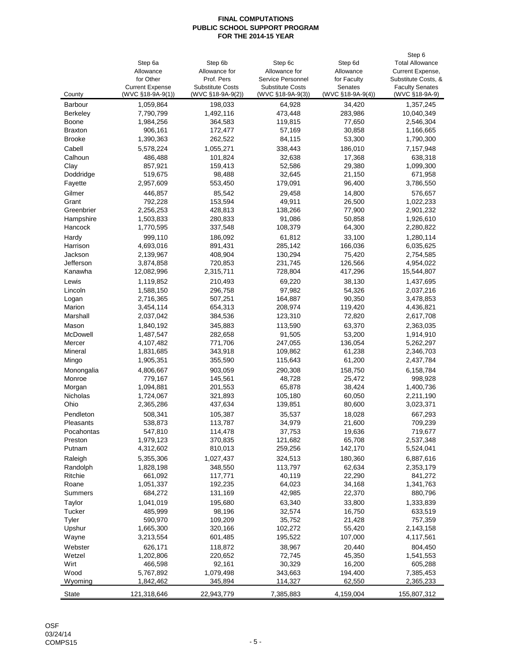|                 |                        |                         |                         |                   | Step 6                 |
|-----------------|------------------------|-------------------------|-------------------------|-------------------|------------------------|
|                 | Step 6a                | Step 6b                 | Step 6c                 | Step 6d           | <b>Total Allowance</b> |
|                 | Allowance              | Allowance for           | Allowance for           | Allowance         | Current Expense,       |
|                 | for Other              | Prof. Pers              | Service Personnel       | for Faculty       | Substitute Costs, &    |
|                 | <b>Current Expense</b> | <b>Substitute Costs</b> | <b>Substitute Costs</b> | Senates           | <b>Faculty Senates</b> |
| County          | (WVC §18-9A-9(1))      | (WVC §18-9A-9(2))       | (WVC §18-9A-9(3))       | (WVC §18-9A-9(4)) | (WVC §18-9A-9)         |
| <b>Barbour</b>  | 1,059,864              | 198,033                 | 64,928                  | 34,420            | 1,357,245              |
| <b>Berkeley</b> | 7,790,799              | 1,492,116               | 473,448                 | 283,986           | 10,040,349             |
| Boone           | 1,984,256              | 364,583                 | 119,815                 | 77,650            | 2,546,304              |
| <b>Braxton</b>  | 906,161                | 172,477                 | 57,169                  | 30,858            | 1,166,665              |
| <b>Brooke</b>   | 1,390,363              | 262,522                 | 84,115                  | 53,300            | 1,790,300              |
| Cabell          | 5,578,224              | 1,055,271               | 338,443                 | 186,010           | 7,157,948              |
| Calhoun         | 486,488                | 101,824                 | 32,638                  | 17,368            | 638,318                |
| Clay            | 857,921                | 159,413                 | 52,586                  | 29,380            | 1,099,300              |
| Doddridge       | 519,675                | 98,488                  | 32,645                  | 21,150            | 671,958                |
| Fayette         | 2,957,609              | 553,450                 | 179,091                 | 96,400            | 3,786,550              |
| Gilmer          | 446,857                | 85,542                  | 29,458                  | 14,800            | 576,657                |
| Grant           | 792,228                | 153,594                 | 49,911                  | 26,500            | 1,022,233              |
| Greenbrier      | 2,256,253              | 428,813                 | 138,266                 | 77,900            | 2,901,232              |
| Hampshire       | 1,503,833              | 280,833                 | 91,086                  | 50,858            | 1,926,610              |
| Hancock         | 1,770,595              | 337,548                 | 108,379                 | 64,300            | 2,280,822              |
| Hardy           | 999,110                | 186,092                 | 61,812                  | 33,100            | 1,280,114              |
| Harrison        | 4,693,016              | 891,431                 | 285,142                 | 166,036           | 6,035,625              |
| Jackson         | 2,139,967              | 408,904                 | 130,294                 | 75,420            | 2,754,585              |
| Jefferson       | 3,874,858              | 720,853                 | 231,745                 | 126,566           | 4,954,022              |
| Kanawha         | 12,082,996             | 2,315,711               | 728,804                 | 417,296           | 15,544,807             |
|                 |                        |                         |                         |                   |                        |
| Lewis           | 1,119,852              | 210,493                 | 69,220                  | 38,130            | 1,437,695              |
| Lincoln         | 1,588,150              | 296,758                 | 97,982                  | 54,326            | 2,037,216              |
| Logan           | 2,716,365              | 507,251                 | 164,887                 | 90,350            | 3,478,853              |
| Marion          | 3,454,114              | 654,313                 | 208,974                 | 119,420           | 4,436,821              |
| Marshall        | 2,037,042              | 384,536                 | 123,310                 | 72,820            | 2,617,708              |
| Mason           | 1,840,192              | 345,883                 | 113,590                 | 63,370            | 2,363,035              |
| McDowell        | 1,487,547              | 282,658                 | 91,505                  | 53,200            | 1,914,910              |
| Mercer          | 4,107,482              | 771,706                 | 247,055                 | 136,054           | 5,262,297              |
| Mineral         | 1,831,685              | 343,918                 | 109,862                 | 61,238            | 2,346,703              |
| Mingo           | 1,905,351              | 355,590                 | 115,643                 | 61,200            | 2,437,784              |
| Monongalia      | 4,806,667              | 903,059                 | 290,308                 | 158,750           | 6,158,784              |
| Monroe          | 779,167                | 145,561                 | 48,728                  | 25,472            | 998,928                |
| Morgan          | 1,094,881              | 201,553                 | 65,878                  | 38,424            | 1,400,736              |
| Nicholas        | 1,724,067              | 321,893                 | 105,180                 | 60,050            | 2,211,190              |
| Ohio            | 2,365,286              | 437,634                 | 139,851                 | 80,600            | 3,023,371              |
| Pendleton       | 508,341                | 105,387                 | 35,537                  | 18,028            | 667,293                |
| Pleasants       | 538,873                | 113,787                 | 34,979                  | 21,600            | 709,239                |
| Pocahontas      | 547,810                | 114,478                 | 37,753                  | 19,636            | 719,677                |
| Preston         | 1,979,123              | 370,835                 | 121,682                 | 65,708            | 2,537,348              |
| Putnam          | 4,312,602              | 810,013                 | 259,256                 | 142,170           | 5,524,041              |
| Raleigh         | 5,355,306              | 1,027,437               | 324,513                 | 180,360           | 6,887,616              |
| Randolph        | 1,828,198              | 348,550                 | 113,797                 | 62,634            | 2,353,179              |
| Ritchie         | 661,092                | 117,771                 | 40,119                  | 22,290            | 841,272                |
| Roane           | 1,051,337              | 192,235                 | 64,023                  | 34,168            | 1,341,763              |
| Summers         | 684,272                | 131,169                 | 42,985                  | 22,370            | 880,796                |
| Taylor          | 1,041,019              | 195,680                 | 63,340                  | 33,800            | 1,333,839              |
| Tucker          | 485,999                | 98,196                  | 32,574                  | 16,750            | 633,519                |
| Tyler           | 590,970                | 109,209                 | 35,752                  | 21,428            | 757,359                |
| Upshur          | 1,665,300              | 320,166                 | 102,272                 | 55,420            | 2,143,158              |
| Wayne           | 3,213,554              | 601,485                 | 195,522                 | 107,000           | 4,117,561              |
| Webster         | 626,171                | 118,872                 | 38,967                  | 20,440            | 804,450                |
| Wetzel          | 1,202,806              | 220,652                 | 72,745                  | 45,350            | 1,541,553              |
| Wirt            | 466,598                | 92,161                  | 30,329                  | 16,200            | 605,288                |
| Wood            | 5,767,892              | 1,079,498               | 343,663                 | 194,400           | 7,385,453              |
| Wyoming         | 1,842,462              | 345,894                 | 114,327                 | 62,550            | 2,365,233              |
|                 |                        |                         |                         |                   |                        |
| State           | 121,318,646            | 22,943,779              | 7,385,883               | 4,159,004         | 155,807,312            |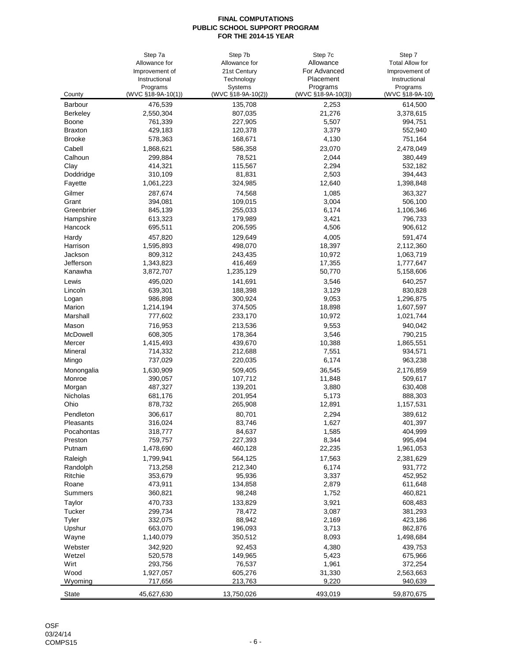|                | Step 7a                        | Step 7b                       | Step 7c                        | Step 7                      |
|----------------|--------------------------------|-------------------------------|--------------------------------|-----------------------------|
|                | Allowance for                  | Allowance for                 | Allowance                      | <b>Total Allow for</b>      |
|                | Improvement of                 | 21st Century                  | For Advanced                   | Improvement of              |
|                | Instructional                  | Technology                    | Placement                      | Instructional               |
| County         | Programs<br>(WVC §18-9A-10(1)) | Systems<br>(WVC §18-9A-10(2)) | Programs<br>(WVC §18-9A-10(3)) | Programs<br>(WVC §18-9A-10) |
| Barbour        | 476,539                        | 135,708                       | 2,253                          | 614,500                     |
| Berkeley       | 2,550,304                      | 807,035                       | 21,276                         | 3,378,615                   |
| Boone          | 761,339                        | 227,905                       | 5,507                          | 994,751                     |
| <b>Braxton</b> | 429,183                        | 120,378                       | 3,379                          | 552,940                     |
| <b>Brooke</b>  | 578,363                        | 168,671                       | 4,130                          | 751,164                     |
| Cabell         | 1,868,621                      | 586,358                       | 23,070                         | 2,478,049                   |
| Calhoun        | 299,884                        | 78,521                        | 2,044                          | 380,449                     |
| Clay           | 414,321                        | 115,567                       | 2,294                          | 532,182                     |
| Doddridge      | 310,109                        | 81,831                        | 2,503                          | 394,443                     |
| Fayette        | 1,061,223                      | 324,985                       | 12,640                         | 1,398,848                   |
| Gilmer         | 287,674                        | 74,568                        | 1,085                          | 363,327                     |
| Grant          | 394,081                        | 109,015                       | 3,004                          | 506,100                     |
| Greenbrier     | 845,139                        | 255,033                       | 6,174                          | 1,106,346                   |
| Hampshire      | 613,323                        | 179,989                       | 3,421                          | 796,733                     |
| Hancock        | 695,511                        | 206,595                       | 4,506                          | 906,612                     |
| Hardy          | 457,820                        | 129,649                       | 4,005                          | 591,474                     |
| Harrison       | 1,595,893                      | 498,070                       | 18,397                         | 2,112,360                   |
| Jackson        | 809,312                        | 243,435                       | 10,972                         | 1,063,719                   |
| Jefferson      | 1,343,823                      | 416,469                       | 17,355                         | 1,777,647                   |
| Kanawha        | 3,872,707                      | 1,235,129                     | 50,770                         | 5,158,606                   |
| Lewis          | 495,020                        | 141,691                       | 3,546                          | 640,257                     |
| Lincoln        | 639,301                        | 188,398                       | 3,129                          | 830,828                     |
| Logan          | 986,898                        | 300,924                       | 9,053                          | 1,296,875                   |
| Marion         | 1,214,194                      | 374,505                       | 18,898                         | 1,607,597                   |
| Marshall       | 777,602                        | 233,170                       | 10,972                         | 1,021,744                   |
| Mason          | 716,953                        | 213,536                       | 9,553                          | 940,042                     |
| McDowell       | 608,305                        | 178,364                       | 3,546                          | 790,215                     |
| Mercer         | 1,415,493                      | 439,670                       | 10,388                         | 1,865,551                   |
| Mineral        | 714,332                        | 212,688                       | 7,551                          | 934,571                     |
| Mingo          | 737,029                        | 220,035                       | 6,174                          | 963,238                     |
| Monongalia     | 1,630,909                      | 509,405                       | 36,545                         | 2,176,859                   |
| Monroe         | 390,057                        | 107,712                       | 11,848                         | 509,617                     |
| Morgan         | 487,327                        | 139,201                       | 3,880                          | 630,408                     |
| Nicholas       | 681,176                        | 201,954                       | 5,173                          | 888,303                     |
| Ohio           | 878,732                        | 265,908                       | 12,891                         | 1,157,531                   |
| Pendleton      | 306,617                        | 80,701                        | 2,294                          | 389,612                     |
| Pleasants      | 316,024                        | 83,746                        | 1,627                          | 401,397                     |
| Pocahontas     | 318,777                        | 84,637                        | 1,585                          | 404,999                     |
| Preston        | 759,757                        | 227,393                       | 8,344                          | 995,494                     |
| Putnam         | 1,478,690                      | 460,128                       | 22,235                         | 1,961,053                   |
| Raleigh        | 1,799,941                      | 564,125                       | 17,563                         | 2,381,629                   |
| Randolph       | 713,258                        | 212,340                       | 6,174                          | 931,772                     |
| Ritchie        | 353,679                        | 95,936                        | 3,337                          | 452,952                     |
| Roane          | 473,911                        | 134,858                       | 2,879                          | 611,648                     |
| Summers        | 360,821                        | 98,248                        | 1,752                          | 460,821                     |
| Taylor         | 470,733                        | 133,829                       | 3,921                          | 608,483                     |
| Tucker         | 299,734                        | 78,472                        | 3,087                          | 381,293                     |
| Tyler          | 332,075                        | 88,942                        | 2,169                          | 423,186                     |
| Upshur         | 663,070                        | 196,093                       | 3,713                          | 862,876                     |
| Wayne          | 1,140,079                      | 350,512                       | 8,093                          | 1,498,684                   |
| Webster        | 342,920                        | 92,453                        | 4,380                          | 439,753                     |
| Wetzel         | 520,578                        | 149,965                       | 5,423                          | 675,966                     |
| Wirt           | 293,756                        | 76,537                        | 1,961                          | 372,254                     |
| Wood           | 1,927,057                      | 605,276                       | 31,330                         | 2,563,663                   |
| Wyoming        | 717,656                        | 213,763                       | 9,220                          | 940,639                     |
| <b>State</b>   | 45,627,630                     | 13,750,026                    | 493,019                        | 59,870,675                  |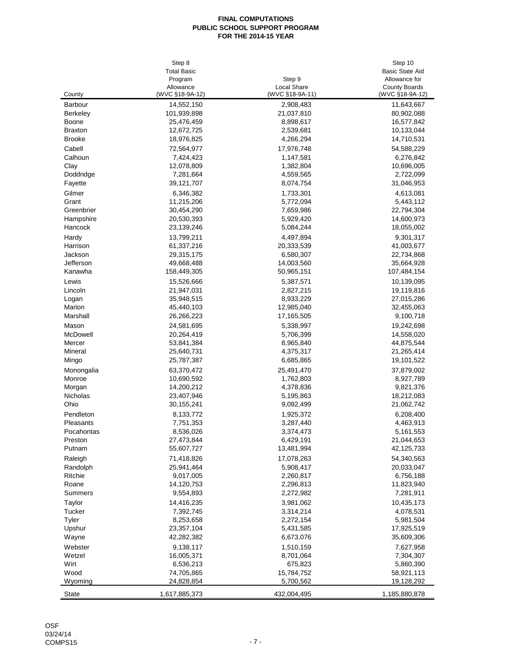|                | Step 8             |                    | Step 10                |
|----------------|--------------------|--------------------|------------------------|
|                | <b>Total Basic</b> |                    | <b>Basic State Aid</b> |
|                | Program            | Step 9             | Allowance for          |
|                | Allowance          | <b>Local Share</b> | <b>County Boards</b>   |
| County         | (WVC §18-9A-12)    | (WVC §18-9A-11)    | (WVC §18-9A-12)        |
| <b>Barbour</b> | 14,552,150         | 2,908,483          | 11,643,667             |
| Berkeley       | 101,939,898        | 21,037,810         | 80,902,088             |
| Boone          | 25,476,459         | 8,898,617          | 16,577,842             |
| <b>Braxton</b> | 12,672,725         | 2,539,681          | 10,133,044             |
| <b>Brooke</b>  | 18,976,825         | 4,266,294          | 14,710,531             |
| Cabell         | 72,564,977         | 17,976,748         | 54,588,229             |
| Calhoun        | 7,424,423          | 1,147,581          | 6,276,842              |
| Clay           | 12,078,809         | 1,382,804          | 10,696,005             |
| Doddridge      | 7,281,664          | 4,559,565          | 2,722,099              |
| Fayette        | 39,121,707         | 8,074,754          | 31,046,953             |
| Gilmer         | 6,346,382          | 1,733,301          | 4,613,081              |
| Grant          | 11,215,206         | 5,772,094          | 5,443,112              |
| Greenbrier     | 30,454,290         | 7,659,986          | 22,794,304             |
| Hampshire      | 20,530,393         | 5,929,420          | 14,600,973             |
| Hancock        | 23,139,246         | 5,084,244          | 18,055,002             |
| Hardy          | 13,799,211         | 4,497,894          | 9,301,317              |
| Harrison       | 61,337,216         | 20,333,539         | 41,003,677             |
| Jackson        | 29,315,175         | 6,580,307          | 22,734,868             |
| Jefferson      | 49,668,488         | 14,003,560         | 35,664,928             |
| Kanawha        | 158,449,305        | 50,965,151         | 107,484,154            |
| Lewis          | 15,526,666         | 5,387,571          | 10,139,095             |
| Lincoln        | 21,947,031         | 2,827,215          | 19,119,816             |
| Logan          | 35,948,515         | 8,933,229          | 27,015,286             |
| Marion         | 45,440,103         | 12,985,040         | 32,455,063             |
| Marshall       |                    | 17,165,505         | 9,100,718              |
|                | 26,266,223         |                    |                        |
| Mason          | 24,581,695         | 5,338,997          | 19,242,698             |
| McDowell       | 20,264,419         | 5,706,399          | 14,558,020             |
| Mercer         | 53,841,384         | 8,965,840          | 44,875,544             |
| Mineral        | 25,640,731         | 4,375,317          | 21,265,414             |
| Mingo          | 25,787,387         | 6,685,865          | 19,101,522             |
| Monongalia     | 63,370,472         | 25,491,470         | 37,879,002             |
| Monroe         | 10,690,592         | 1,762,803          | 8,927,789              |
| Morgan         | 14,200,212         | 4,378,836          | 9,821,376              |
| Nicholas       | 23,407,946         | 5,195,863          | 18,212,083             |
| Ohio           | 30,155,241         | 9,092,499          | 21,062,742             |
| Pendleton      | 8,133,772          | 1,925,372          | 6,208,400              |
| Pleasants      | 7,751,353          | 3,287,440          | 4,463,913              |
| Pocahontas     | 8,536,026          | 3,374,473          | 5,161,553              |
| Preston        | 27,473,844         | 6,429,191          | 21,044,653             |
| Putnam         | 55,607,727         | 13,481,994         | 42,125,733             |
| Raleigh        | 71,418,826         | 17,078,263         | 54,340,563             |
| Randolph       | 25,941,464         | 5,908,417          | 20,033,047             |
| Ritchie        | 9,017,005          | 2,260,817          | 6,756,188              |
| Roane          | 14,120,753         | 2,296,813          | 11,823,940             |
| Summers        | 9,554,893          | 2,272,982          | 7,281,911              |
| Taylor         | 14,416,235         | 3,981,062          | 10,435,173             |
| Tucker         | 7,392,745          | 3,314,214          | 4,078,531              |
| Tyler          | 8,253,658          | 2,272,154          | 5,981,504              |
| Upshur         | 23,357,104         | 5,431,585          | 17,925,519             |
| Wayne          | 42,282,382         | 6,673,076          | 35,609,306             |
| Webster        | 9,138,117          | 1,510,159          | 7,627,958              |
| Wetzel         | 16,005,371         | 8,701,064          | 7,304,307              |
| Wirt           | 6,536,213          | 675,823            | 5,860,390              |
| Wood           | 74,705,865         | 15,784,752         | 58,921,113             |
| Wyoming        | 24,828,854         | 5,700,562          | 19,128,292             |
| <b>State</b>   | 1,617,885,373      | 432,004,495        | 1,185,880,878          |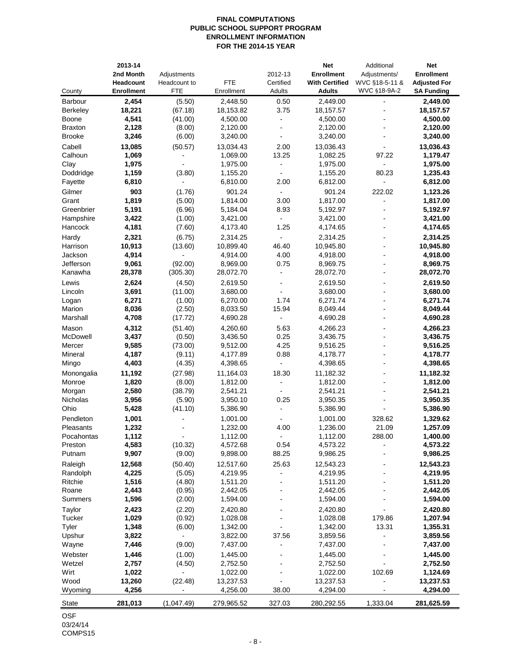## **FINAL COMPUTATIONS PUBLIC SCHOOL SUPPORT PROGRAM ENROLLMENT INFORMATION FOR THE 2014-15 YEAR**

|                   | 2013-14           |                          |            |                          | <b>Net</b>            | Additional     | <b>Net</b>          |
|-------------------|-------------------|--------------------------|------------|--------------------------|-----------------------|----------------|---------------------|
|                   | 2nd Month         | Adjustments              |            | 2012-13                  | <b>Enrollment</b>     | Adjustments/   | <b>Enrollment</b>   |
|                   | Headcount         | Headcount to             | <b>FTE</b> | Certified                | <b>With Certified</b> | WVC §18-5-11 & | <b>Adjusted For</b> |
| County            | <b>Enrollment</b> | <b>FTE</b>               | Enrollment | Adults                   | <b>Adults</b>         | WVC §18-9A-2   | <b>SA Funding</b>   |
| Barbour           | 2,454             | (5.50)                   | 2,448.50   | 0.50                     | 2,449.00              |                | 2,449.00            |
| Berkeley          | 18,221            | (67.18)                  | 18,153.82  | 3.75                     | 18,157.57             |                | 18,157.57           |
| Boone             | 4,541             | (41.00)                  | 4,500.00   | $\overline{a}$           | 4,500.00              |                | 4,500.00            |
| <b>Braxton</b>    | 2,128             | (8.00)                   | 2,120.00   |                          | 2,120.00              |                | 2,120.00            |
| <b>Brooke</b>     | 3,246             | (6.00)                   | 3,240.00   | $\overline{a}$           | 3,240.00              |                | 3,240.00            |
| Cabell            | 13,085            | (50.57)                  | 13,034.43  | 2.00                     | 13,036.43             |                | 13,036.43           |
| Calhoun           | 1,069             |                          | 1,069.00   | 13.25                    | 1,082.25              | 97.22          | 1,179.47            |
| Clay              | 1,975             |                          | 1,975.00   | $\blacksquare$           | 1,975.00              |                | 1,975.00            |
| Doddridge         | 1,159             | (3.80)                   | 1,155.20   | $\overline{a}$           | 1,155.20              | 80.23          | 1,235.43            |
| Fayette           | 6,810             | $\blacksquare$           | 6,810.00   | 2.00                     | 6,812.00              | $\overline{a}$ | 6,812.00            |
| Gilmer            | 903               | (1.76)                   | 901.24     | $\overline{\phantom{a}}$ | 901.24                | 222.02         | 1,123.26            |
| Grant             | 1,819             | (5.00)                   | 1,814.00   | 3.00                     | 1,817.00              |                | 1,817.00            |
| Greenbrier        | 5,191             | (6.96)                   | 5,184.04   | 8.93                     | 5,192.97              |                | 5,192.97            |
| Hampshire         | 3,422             | (1.00)                   | 3,421.00   | $\blacksquare$           | 3,421.00              |                | 3,421.00            |
| Hancock           | 4,181             | (7.60)                   | 4,173.40   | 1.25                     | 4,174.65              |                | 4,174.65            |
| Hardy             | 2,321             | (6.75)                   | 2,314.25   | $\overline{a}$           | 2,314.25              |                | 2,314.25            |
| Harrison          | 10,913            | (13.60)                  | 10,899.40  | 46.40                    | 10,945.80             |                | 10,945.80           |
| Jackson           | 4,914             | $\overline{a}$           | 4,914.00   | 4.00                     | 4,918.00              | $\overline{a}$ | 4,918.00            |
| Jefferson         | 9,061             | (92.00)                  | 8,969.00   | 0.75                     | 8,969.75              | $\blacksquare$ | 8,969.75            |
| Kanawha           | 28,378            | (305.30)                 | 28,072.70  | $\blacksquare$           | 28,072.70             |                | 28,072.70           |
| Lewis             | 2,624             | (4.50)                   | 2,619.50   | $\blacksquare$           | 2,619.50              |                | 2,619.50            |
| Lincoln           | 3,691             | (11.00)                  | 3,680.00   | $\overline{a}$           | 3,680.00              |                | 3,680.00            |
| Logan             | 6,271             | (1.00)                   | 6,270.00   | 1.74                     | 6,271.74              |                | 6,271.74            |
| Marion            | 8,036             | (2.50)                   | 8,033.50   | 15.94                    | 8,049.44              |                | 8,049.44            |
| Marshall          | 4,708             | (17.72)                  | 4,690.28   | $\overline{a}$           | 4,690.28              |                | 4,690.28            |
|                   |                   |                          |            |                          |                       |                |                     |
| Mason             | 4,312             | (51.40)                  | 4,260.60   | 5.63                     | 4,266.23              |                | 4,266.23            |
| McDowell          | 3,437             | (0.50)                   | 3,436.50   | 0.25                     | 3,436.75              |                | 3,436.75            |
| Mercer<br>Mineral | 9,585<br>4,187    | (73.00)                  | 9,512.00   | 4.25<br>0.88             | 9,516.25<br>4,178.77  | ÷              | 9,516.25            |
|                   |                   | (9.11)                   | 4,177.89   | $\blacksquare$           |                       |                | 4,178.77            |
| Mingo             | 4,403             | (4.35)                   | 4,398.65   |                          | 4,398.65              |                | 4,398.65            |
| Monongalia        | 11,192            | (27.98)                  | 11,164.03  | 18.30                    | 11,182.32             |                | 11,182.32           |
| Monroe            | 1,820             | (8.00)                   | 1,812.00   | $\overline{a}$           | 1,812.00              |                | 1,812.00            |
| Morgan            | 2,580             | (38.79)                  | 2,541.21   | $\frac{1}{2}$            | 2,541.21              |                | 2,541.21            |
| <b>Nicholas</b>   | 3,956             | (5.90)                   | 3,950.10   | 0.25                     | 3,950.35              |                | 3,950.35            |
| Ohio              | 5,428             | (41.10)                  | 5,386.90   |                          | 5,386.90              |                | 5,386.90            |
| Pendleton         | 1,001             |                          | 1,001.00   |                          | 1,001.00              | 328.62         | 1,329.62            |
| Pleasants         | 1,232             |                          | 1,232.00   | 4.00                     | 1,236.00              | 21.09          | 1,257.09            |
| Pocahontas        | 1,112             |                          | 1,112.00   |                          | 1,112.00              | 288.00         | 1,400.00            |
| Preston           | 4,583             | (10.32)                  | 4,572.68   | 0.54                     | 4,573.22              |                | 4,573.22            |
| Putnam            | 9,907             | (9.00)                   | 9,898.00   | 88.25                    | 9,986.25              |                | 9,986.25            |
| Raleigh           | 12,568            | (50.40)                  | 12,517.60  | 25.63                    | 12,543.23             |                | 12,543.23           |
| Randolph          | 4,225             | (5.05)                   | 4,219.95   | $\blacksquare$           | 4,219.95              |                | 4,219.95            |
| Ritchie           | 1,516             | (4.80)                   | 1,511.20   |                          | 1,511.20              |                | 1,511.20            |
| Roane             | 2,443             | (0.95)                   | 2,442.05   |                          | 2,442.05              |                | 2,442.05            |
| Summers           | 1,596             | (2.00)                   | 1,594.00   |                          | 1,594.00              |                | 1,594.00            |
| Taylor            | 2,423             | (2.20)                   | 2,420.80   |                          | 2,420.80              |                | 2,420.80            |
| Tucker            | 1,029             | (0.92)                   | 1,028.08   |                          | 1,028.08              | 179.86         | 1,207.94            |
| Tyler             | 1,348             | (6.00)                   | 1,342.00   |                          | 1,342.00              | 13.31          | 1,355.31            |
| Upshur            | 3,822             |                          | 3,822.00   | 37.56                    | 3,859.56              |                | 3,859.56            |
| Wayne             | 7,446             | (9.00)                   | 7,437.00   |                          | 7,437.00              |                | 7,437.00            |
| Webster           | 1,446             | (1.00)                   | 1,445.00   |                          | 1,445.00              |                | 1,445.00            |
| Wetzel            | 2,757             | (4.50)                   | 2,752.50   |                          | 2,752.50              |                | 2,752.50            |
| Wirt              | 1,022             | $\overline{\phantom{a}}$ | 1,022.00   |                          | 1,022.00              | 102.69         | 1,124.69            |
| Wood              | 13,260            | (22.48)                  | 13,237.53  |                          | 13,237.53             |                | 13,237.53           |
| Wyoming           | 4,256             | $\overline{\phantom{a}}$ | 4,256.00   | 38.00                    | 4,294.00              |                | 4,294.00            |
| State             | 281,013           | (1,047.49)               | 279,965.52 | 327.03                   | 280,292.55            | 1,333.04       | 281,625.59          |
| C <sub>CT</sub>   |                   |                          |            |                          |                       |                |                     |

OSF 03/24/14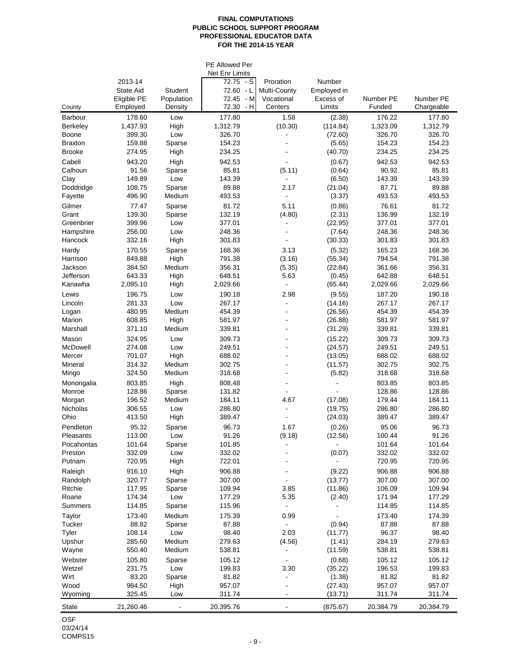#### **FINAL COMPUTATIONS PUBLIC SCHOOL SUPPORT PROGRAM PROFESSIONAL EDUCATOR DATA FOR THE 2014-15 YEAR**

|                                 |                  |                | <b>PE Allowed Per</b><br>Net Enr Limits |                          |                    |                  |                  |
|---------------------------------|------------------|----------------|-----------------------------------------|--------------------------|--------------------|------------------|------------------|
|                                 | 2013-14          |                | $72.75 - S$                             | Proration                | Number             |                  |                  |
|                                 | State Aid        | <b>Student</b> | $72.60 - L$                             | Multi-County             | Employed in        |                  |                  |
|                                 | Eligible PE      | Population     | 72.45<br>- M                            | Vocational               | Excess of          | Number PE        | Number PE        |
| County                          | Employed         | Density        | 72.30<br>$-H$                           | Centers                  | Limits             | Funded           | Chargeable       |
| Barbour                         | 178.60           | Low            | 177.80                                  | 1.58                     | (2.38)             | 176.22           | 177.80           |
| <b>Berkeley</b>                 | 1,437.93         | High           | 1,312.79                                | (10.30)                  | (114.84)           | 1,323.09         | 1,312.79         |
| Boone                           | 399.30           | Low            | 326.70                                  |                          | (72.60)            | 326.70           | 326.70           |
| <b>Braxton</b><br><b>Brooke</b> | 159.88<br>274.95 | Sparse<br>High | 154.23<br>234.25                        |                          | (5.65)<br>(40.70)  | 154.23<br>234.25 | 154.23<br>234.25 |
|                                 |                  |                |                                         |                          |                    |                  |                  |
| Cabell<br>Calhoun               | 943.20<br>91.56  | High<br>Sparse | 942.53<br>85.81                         | (5.11)                   | (0.67)<br>(0.64)   | 942.53<br>90.92  | 942.53<br>85.81  |
| Clay                            | 149.89           | Low            | 143.39                                  | $\blacksquare$           | (6.50)             | 143.39           | 143.39           |
| Doddridge                       | 108.75           | Sparse         | 89.88                                   | 2.17                     | (21.04)            | 87.71            | 89.88            |
| Fayette                         | 496.90           | Medium         | 493.53                                  | ä,                       | (3.37)             | 493.53           | 493.53           |
| Gilmer                          | 77.47            | Sparse         | 81.72                                   | 5.11                     | (0.86)             | 76.61            | 81.72            |
| Grant                           | 139.30           | Sparse         | 132.19                                  | (4.80)                   | (2.31)             | 136.99           | 132.19           |
| Greenbrier                      | 399.96           | Low            | 377.01                                  | $\blacksquare$           | (22.95)            | 377.01           | 377.01           |
| Hampshire                       | 256.00           | Low            | 248.36                                  |                          | (7.64)             | 248.36           | 248.36           |
| Hancock                         | 332.16           | High           | 301.83                                  |                          | (30.33)            | 301.83           | 301.83           |
| Hardy                           | 170.55           | Sparse         | 168.36                                  | 3.13                     | (5.32)             | 165.23           | 168.36           |
| Harrison                        | 849.88           | High           | 791.38                                  | (3.16)                   | (55.34)            | 794.54           | 791.38           |
| Jackson                         | 384.50           | Medium         | 356.31                                  | (5.35)                   | (22.84)            | 361.66           | 356.31           |
| Jefferson                       | 643.33           | High           | 648.51                                  | 5.63                     | (0.45)             | 642.88           | 648.51           |
| Kanawha                         | 2,095.10         | High           | 2,029.66                                | $\blacksquare$           | (65.44)            | 2,029.66         | 2,029.66         |
| Lewis                           | 196.75           | Low            | 190.18                                  | 2.98                     | (9.55)             | 187.20           | 190.18           |
| Lincoln                         | 281.33           | Low            | 267.17                                  | ä,                       | (14.16)            | 267.17           | 267.17           |
| Logan<br>Marion                 | 480.95<br>608.85 | Medium<br>High | 454.39<br>581.97                        | $\blacksquare$<br>$\sim$ | (26.56)<br>(26.88) | 454.39<br>581.97 | 454.39<br>581.97 |
| Marshall                        | 371.10           | Medium         | 339.81                                  | L,                       | (31.29)            | 339.81           | 339.81           |
| Mason                           | 324.95           | Low            | 309.73                                  |                          | (15.22)            | 309.73           | 309.73           |
| McDowell                        | 274.08           | Low            | 249.51                                  |                          | (24.57)            | 249.51           | 249.51           |
| Mercer                          | 701.07           | High           | 688.02                                  |                          | (13.05)            | 688.02           | 688.02           |
| Mineral                         | 314.32           | Medium         | 302.75                                  | $\blacksquare$           | (11.57)            | 302.75           | 302.75           |
| Mingo                           | 324.50           | Medium         | 318.68                                  |                          | (5.82)             | 318.68           | 318.68           |
| Monongalia                      | 803.85           | High           | 808.48                                  |                          |                    | 803.85           | 803.85           |
| Monroe                          | 128.86           | Sparse         | 131.82                                  | $\blacksquare$           |                    | 128.86           | 128.86           |
| Morgan                          | 196.52           | Medium         | 184.11                                  | 4.67                     | (17.08)            | 179.44           | 184.11           |
| Nicholas                        | 306.55           | Low            | 286.80                                  | $\blacksquare$           | (19.75)            | 286.80           | 286.80           |
| Ohio                            | 413.50           | High           | 389.47                                  |                          | (24.03)            | 389.47           | 389.47           |
| Pendleton                       | 95.32            | Sparse         | 96.73                                   | 1.67                     | (0.26)             | 95.06            | 96.73            |
| Pleasants                       | 113.00           | Low            | 91.26                                   | (9.18)                   | (12.56)            | 100.44           | 91.26            |
| Pocahontas                      | 101.64           | Sparse         | 101.85                                  |                          |                    | 101.64           | 101.64           |
| Preston                         | 332.09           | Low            | 332.02                                  |                          | (0.07)             | 332.02           | 332.02           |
| Putnam                          | 720.95           | High           | 722.01                                  |                          |                    | 720.95           | 720.95           |
| Raleigh<br>Randolph             | 916.10<br>320.77 | High<br>Sparse | 906.88<br>307.00                        |                          | (9.22)<br>(13.77)  | 906.88<br>307.00 | 906.88<br>307.00 |
| Ritchie                         | 117.95           | Sparse         | 109.94                                  | 3.85                     | (11.86)            | 106.09           | 109.94           |
| Roane                           | 174.34           | Low            | 177.29                                  | 5.35                     | (2.40)             | 171.94           | 177.29           |
| Summers                         | 114.85           | Sparse         | 115.96                                  |                          |                    | 114.85           | 114.85           |
| Taylor                          | 173.40           | Medium         | 175.39                                  | 0.99                     |                    | 173.40           | 174.39           |
| Tucker                          | 88.82            | Sparse         | 87.88                                   | $\blacksquare$           | (0.94)             | 87.88            | 87.88            |
| Tyler                           | 108.14           | Low            | 98.40                                   | 2.03                     | (11.77)            | 96.37            | 98.40            |
| Upshur                          | 285.60           | Medium         | 279.63                                  | (4.56)                   | (1.41)             | 284.19           | 279.63           |
| Wayne                           | 550.40           | Medium         | 538.81                                  | $\blacksquare$           | (11.59)            | 538.81           | 538.81           |
| Webster                         | 105.80           | Sparse         | 105.12                                  |                          | (0.68)             | 105.12           | 105.12           |
| Wetzel                          | 231.75           | Low            | 199.83                                  | 3.30                     | (35.22)            | 196.53           | 199.83           |
| Wirt                            | 83.20            | Sparse         | 81.82                                   | $\blacksquare$           | (1.38)             | 81.82            | 81.82            |
| Wood                            | 984.50           | High           | 957.07                                  |                          | (27.43)            | 957.07           | 957.07           |
| Wyoming                         | 325.45           | Low            | 311.74                                  | $\blacksquare$           | (13.71)            | 311.74           | 311.74           |
| State                           | 21,260.46        |                | 20,395.76                               | $\blacksquare$           | (875.67)           | 20,384.79        | 20,384.79        |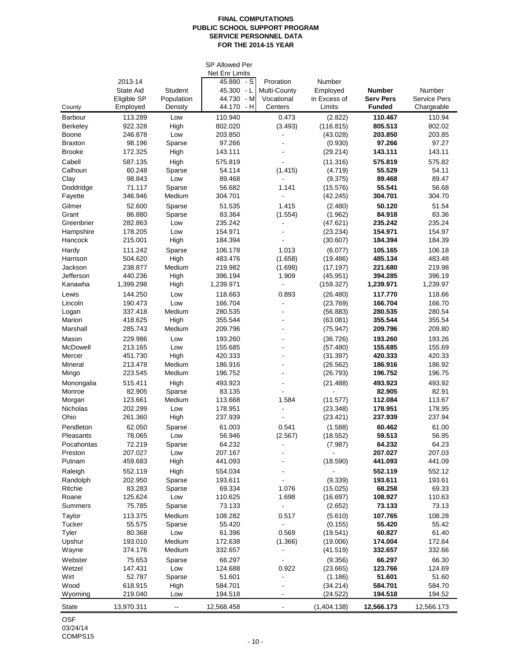#### **FINAL COMPUTATIONS PUBLIC SCHOOL SUPPORT PROGRAM SERVICE PERSONNEL DATA FOR THE 2014-15 YEAR**

|                         |                    |                | <b>SP Allowed Per</b><br>Net Enr Limits |                         |                      |                    |                     |
|-------------------------|--------------------|----------------|-----------------------------------------|-------------------------|----------------------|--------------------|---------------------|
|                         | 2013-14            |                | 45.880<br>- S                           | Proration               | Number               |                    |                     |
|                         | <b>State Aid</b>   | Student        | 45.300 - L                              | Multi-County            | Employed             | <b>Number</b>      | Number              |
|                         | Eligible SP        | Population     | 44.730<br>- M                           | Vocational              | in Excess of         | <b>Serv Pers</b>   | <b>Service Pers</b> |
| County                  | Employed           | Density        | $-H$<br>44.170                          | Centers                 | Limits               | <b>Funded</b>      | Chargeable          |
| Barbour                 | 113.289            | Low            | 110.940                                 | 0.473                   | (2.822)              | 110.467            | 110.94              |
| <b>Berkeley</b>         | 922.328            | High           | 802.020                                 | (3.493)                 | (116.815)            | 805.513            | 802.02              |
| Boone<br><b>Braxton</b> | 246.878<br>98.196  | Low<br>Sparse  | 203.850<br>97.266                       |                         | (43.028)<br>(0.930)  | 203.850<br>97.266  | 203.85<br>97.27     |
| <b>Brooke</b>           | 172.325            | High           | 143.111                                 |                         | (29.214)             | 143.111            | 143.11              |
| Cabell                  | 587.135            | High           | 575.819                                 |                         | (11.316)             | 575.819            | 575.82              |
| Calhoun                 | 60.248             | Sparse         | 54.114                                  | (1.415)                 | (4.719)              | 55.529             | 54.11               |
| Clay                    | 98.843             | Low            | 89.468                                  |                         | (9.375)              | 89.468             | 89.47               |
| Doddridge               | 71.117             | Sparse         | 56.682                                  | 1.141                   | (15.576)             | 55.541             | 56.68               |
| Fayette                 | 346.946            | Medium         | 304.701                                 |                         | (42.245)             | 304.701            | 304.70              |
| Gilmer                  | 52.600             | Sparse         | 51.535                                  | 1.415                   | (2.480)              | 50.120             | 51.54               |
| Grant                   | 86.880             | Sparse         | 83.364                                  | (1.554)                 | (1.962)              | 84.918             | 83.36               |
| Greenbrier              | 282.863            | Low            | 235.242                                 |                         | (47.621)             | 235.242            | 235.24              |
| Hampshire               | 178.205            | Low            | 154.971                                 |                         | (23.234)             | 154.971            | 154.97              |
| Hancock                 | 215.001            | High           | 184.394                                 |                         | (30.607)             | 184.394            | 184.39              |
| Hardy<br>Harrison       | 111.242<br>504.620 | Sparse<br>High | 106.178<br>483.476                      | 1.013<br>(1.658)        | (6.077)<br>(19.486)  | 105.165<br>485.134 | 106.18<br>483.48    |
| Jackson                 | 238.877            | Medium         | 219.982                                 | (1.698)                 | (17.197)             | 221.680            | 219.98              |
| Jefferson               | 440.236            | High           | 396.194                                 | 1.909                   | (45.951)             | 394.285            | 396.19              |
| Kanawha                 | 1,399.298          | High           | 1,239.971                               | $\blacksquare$          | (159.327)            | 1,239.971          | 1,239.97            |
| Lewis                   | 144.250            | Low            | 118.663                                 | 0.893                   | (26.480)             | 117.770            | 118.66              |
| Lincoln                 | 190.473            | Low            | 166.704                                 |                         | (23.769)             | 166.704            | 166.70              |
| Logan                   | 337.418            | Medium         | 280.535                                 | $\blacksquare$          | (56.883)             | 280.535            | 280.54              |
| Marion                  | 418.625            | High           | 355.544                                 | $\blacksquare$          | (63.081)             | 355.544            | 355.54              |
| Marshall                | 285.743            | Medium         | 209.796                                 | $\blacksquare$          | (75.947)             | 209.796            | 209.80              |
| Mason                   | 229.986            | Low            | 193.260                                 |                         | (36.726)             | 193.260            | 193.26              |
| McDowell                | 213.165            | Low            | 155.685                                 |                         | (57.480)             | 155.685            | 155.69              |
| Mercer<br>Mineral       | 451.730<br>213.478 | High<br>Medium | 420.333<br>186.916                      | ۰                       | (31.397)<br>(26.562) | 420.333<br>186.916 | 420.33<br>186.92    |
| Mingo                   | 223.545            | Medium         | 196.752                                 | ÷                       | (26.793)             | 196.752            | 196.75              |
| Monongalia              | 515.411            | High           | 493.923                                 | $\blacksquare$          | (21.488)             | 493.923            | 493.92              |
| Monroe                  | 82.905             | Sparse         | 83.135                                  |                         |                      | 82.905             | 82.91               |
| Morgan                  | 123.661            | Medium         | 113.668                                 | 1.584                   | (11.577)             | 112.084            | 113.67              |
| Nicholas                | 202.299            | Low            | 178.951                                 |                         | (23.348)             | 178.951            | 178.95              |
| Ohio                    | 261.360            | High           | 237.939                                 |                         | (23.421)             | 237.939            | 237.94              |
| Pendleton               | 62.050             | Sparse         | 61.003                                  | 0.541                   | (1.588)              | 60.462             | 61.00               |
| Pleasants               | 78.065             | Low            | 56.946                                  | (2.567)                 | (18.552)             | 59.513             | 56.95               |
| Pocahontas              | 72.219             | Sparse         | 64.232                                  |                         | (7.987)              | 64.232             | 64.23               |
| Preston<br>Putnam       | 207.027<br>459.683 | Low<br>High    | 207.167<br>441.093                      |                         | (18.590)             | 207.027<br>441.093 | 207.03<br>441.09    |
| Raleigh                 | 552.119            | High           | 554.034                                 |                         |                      | 552.119            | 552.12              |
| Randolph                | 202.950            | Sparse         | 193.611                                 |                         | (9.339)              | 193.611            | 193.61              |
| Ritchie                 | 83.283             | Sparse         | 69.334                                  | 1.076                   | (15.025)             | 68.258             | 69.33               |
| Roane                   | 125.624            | Low            | 110.625                                 | 1.698                   | (16.697)             | 108.927            | 110.63              |
| Summers                 | 75.785             | Sparse         | 73.133                                  |                         | (2.652)              | 73.133             | 73.13               |
| Taylor                  | 113.375            | Medium         | 108.282                                 | 0.517                   | (5.610)              | 107.765            | 108.28              |
| Tucker                  | 55.575             | Sparse         | 55.420                                  |                         | (0.155)              | 55.420             | 55.42               |
| Tyler                   | 80.368             | Low            | 61.396                                  | 0.569                   | (19.541)             | 60.827             | 61.40               |
| Upshur                  | 193.010            | Medium         | 172.638                                 | (1.366)                 | (19.006)             | 174.004            | 172.64              |
| Wayne                   | 374.176            | Medium         | 332.657                                 |                         | (41.519)             | 332.657            | 332.66              |
| Webster                 | 75.653             | Sparse         | 66.297                                  |                         | (9.356)              | 66.297             | 66.30               |
| Wetzel<br>Wirt          | 147.431<br>52.787  | Low<br>Sparse  | 124.688<br>51.601                       | 0.922<br>$\overline{a}$ | (23.665)<br>(1.186)  | 123.766<br>51.601  | 124.69<br>51.60     |
| Wood                    | 618.915            | High           | 584.701                                 |                         | (34.214)             | 584.701            | 584.70              |
| Wyoming                 | 219.040            | Low            | 194.518                                 | -                       | (24.522)             | 194.518            | 194.52              |
| State                   | 13,970.311         | --             | 12,568.458                              |                         | (1,404.138)          | 12,566.173         | 12,566.173          |
|                         |                    |                |                                         |                         |                      |                    |                     |

OSF 03/24/14 COMPS15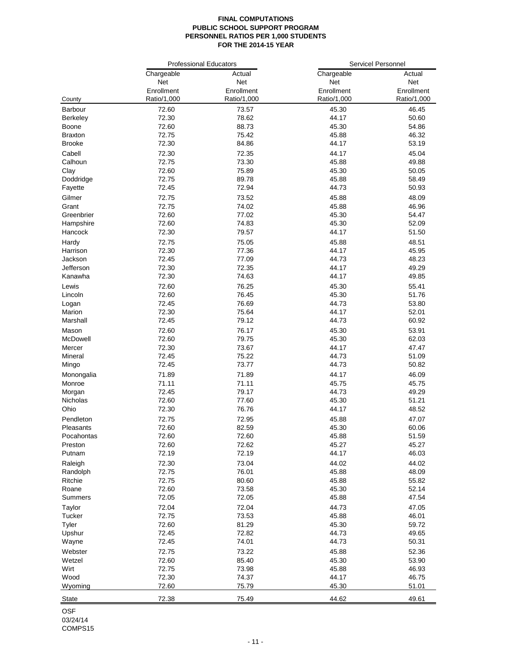#### **FINAL COMPUTATIONS PUBLIC SCHOOL SUPPORT PROGRAM PERSONNEL RATIOS PER 1,000 STUDENTS FOR THE 2014-15 YEAR**

|            |             | <b>Professional Educators</b> | Servicel Personnel |             |  |  |
|------------|-------------|-------------------------------|--------------------|-------------|--|--|
|            | Chargeable  | Actual                        | Chargeable         | Actual      |  |  |
|            | Net         | <b>Net</b>                    | Net                | Net         |  |  |
|            | Enrollment  | Enrollment                    | Enrollment         | Enrollment  |  |  |
| County     | Ratio/1,000 | Ratio/1,000                   | Ratio/1,000        | Ratio/1,000 |  |  |
| Barbour    | 72.60       | 73.57                         | 45.30              | 46.45       |  |  |
| Berkeley   | 72.30       | 78.62                         | 44.17              | 50.60       |  |  |
| Boone      | 72.60       | 88.73                         | 45.30              | 54.86       |  |  |
| Braxton    | 72.75       | 75.42                         | 45.88              | 46.32       |  |  |
| Brooke     | 72.30       | 84.86                         | 44.17              | 53.19       |  |  |
| Cabell     | 72.30       | 72.35                         | 44.17              | 45.04       |  |  |
| Calhoun    | 72.75       | 73.30                         | 45.88              | 49.88       |  |  |
| Clay       | 72.60       | 75.89                         | 45.30              | 50.05       |  |  |
| Doddridge  | 72.75       | 89.78                         | 45.88              | 58.49       |  |  |
| Fayette    | 72.45       | 72.94                         | 44.73              | 50.93       |  |  |
|            |             |                               |                    |             |  |  |
| Gilmer     | 72.75       | 73.52                         | 45.88              | 48.09       |  |  |
| Grant      | 72.75       | 74.02                         | 45.88              | 46.96       |  |  |
| Greenbrier | 72.60       | 77.02                         | 45.30              | 54.47       |  |  |
| Hampshire  | 72.60       | 74.83                         | 45.30              | 52.09       |  |  |
| Hancock    | 72.30       | 79.57                         | 44.17              | 51.50       |  |  |
| Hardy      | 72.75       | 75.05                         | 45.88              | 48.51       |  |  |
| Harrison   | 72.30       | 77.36                         | 44.17              | 45.95       |  |  |
| Jackson    | 72.45       | 77.09                         | 44.73              | 48.23       |  |  |
| Jefferson  | 72.30       | 72.35                         | 44.17              | 49.29       |  |  |
| Kanawha    | 72.30       | 74.63                         | 44.17              | 49.85       |  |  |
| Lewis      | 72.60       | 76.25                         | 45.30              | 55.41       |  |  |
| Lincoln    | 72.60       | 76.45                         | 45.30              | 51.76       |  |  |
| Logan      | 72.45       | 76.69                         | 44.73              | 53.80       |  |  |
| Marion     | 72.30       | 75.64                         | 44.17              | 52.01       |  |  |
| Marshall   | 72.45       | 79.12                         | 44.73              | 60.92       |  |  |
| Mason      | 72.60       | 76.17                         | 45.30              | 53.91       |  |  |
| McDowell   | 72.60       | 79.75                         | 45.30              | 62.03       |  |  |
| Mercer     | 72.30       | 73.67                         | 44.17              | 47.47       |  |  |
| Mineral    | 72.45       | 75.22                         | 44.73              | 51.09       |  |  |
| Mingo      | 72.45       | 73.77                         | 44.73              | 50.82       |  |  |
| Monongalia | 71.89       | 71.89                         | 44.17              | 46.09       |  |  |
| Monroe     | 71.11       | 71.11                         | 45.75              | 45.75       |  |  |
| Morgan     | 72.45       | 79.17                         | 44.73              | 49.29       |  |  |
| Nicholas   | 72.60       | 77.60                         | 45.30              | 51.21       |  |  |
| Ohio       | 72.30       | 76.76                         | 44.17              | 48.52       |  |  |
| Pendleton  | 72.75       | 72.95                         | 45.88              | 47.07       |  |  |
| Pleasants  | 72.60       | 82.59                         | 45.30              | 60.06       |  |  |
| Pocahontas | 72.60       | 72.60                         | 45.88              | 51.59       |  |  |
| Preston    | 72.60       | 72.62                         | 45.27              | 45.27       |  |  |
| Putnam     | 72.19       | 72.19                         | 44.17              | 46.03       |  |  |
|            |             |                               |                    |             |  |  |
| Raleigh    | 72.30       | 73.04                         | 44.02              | 44.02       |  |  |
| Randolph   | 72.75       | 76.01                         | 45.88              | 48.09       |  |  |
| Ritchie    | 72.75       | 80.60                         | 45.88              | 55.82       |  |  |
| Roane      | 72.60       | 73.58                         | 45.30              | 52.14       |  |  |
| Summers    | 72.05       | 72.05                         | 45.88              | 47.54       |  |  |
| Taylor     | 72.04       | 72.04                         | 44.73              | 47.05       |  |  |
| Tucker     | 72.75       | 73.53                         | 45.88              | 46.01       |  |  |
| Tyler      | 72.60       | 81.29                         | 45.30              | 59.72       |  |  |
| Upshur     | 72.45       | 72.82                         | 44.73              | 49.65       |  |  |
| Wayne      | 72.45       | 74.01                         | 44.73              | 50.31       |  |  |
| Webster    | 72.75       | 73.22                         | 45.88              | 52.36       |  |  |
| Wetzel     | 72.60       | 85.40                         | 45.30              | 53.90       |  |  |
| Wirt       | 72.75       | 73.98                         | 45.88              | 46.93       |  |  |
| Wood       | 72.30       | 74.37                         | 44.17              | 46.75       |  |  |
| Wyoming    | 72.60       | 75.79                         | 45.30              | 51.01       |  |  |
|            | 72.38       | 75.49                         | 44.62              | 49.61       |  |  |
| State      |             |                               |                    |             |  |  |

OSF 03/24/14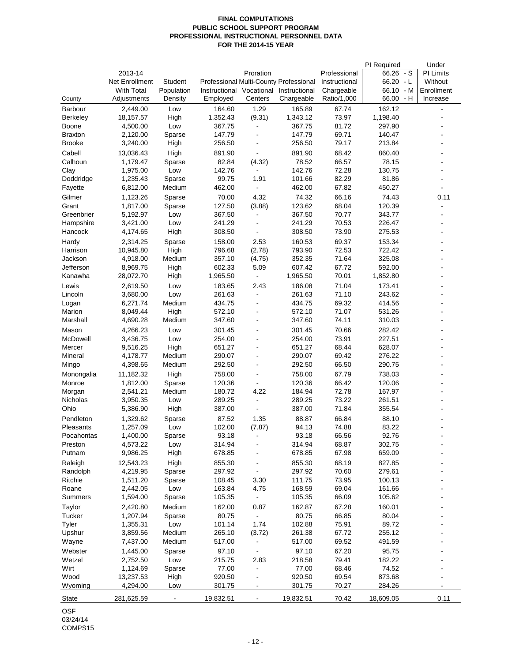#### **FINAL COMPUTATIONS PUBLIC SCHOOL SUPPORT PROGRAM PROFESSIONAL INSTRUCTIONAL PERSONNEL DATA FOR THE 2014-15 YEAR**

|                    |                      |                  |                          |                              |                                        |               | PI Required      | Under            |
|--------------------|----------------------|------------------|--------------------------|------------------------------|----------------------------------------|---------------|------------------|------------------|
|                    | 2013-14              |                  |                          | Proration                    |                                        | Professional  | $66.26 - S$      | <b>PI Limits</b> |
|                    | Net Enrollment       | Student          |                          |                              | Professional Multi-County Professional | Instructional | $66.20 - L$      | Without          |
|                    | <b>With Total</b>    | Population       | Instructional Vocational |                              | Instructional                          | Chargeable    | 66.10 - M        | Enrollment       |
| County             | Adjustments          | Density          | Employed                 | Centers                      | Chargeable                             | Ratio/1,000   | 66.00 - H        | Increase         |
| Barbour            | 2,449.00             | Low              | 164.60                   | 1.29                         | 165.89                                 | 67.74         | 162.12           |                  |
| <b>Berkeley</b>    | 18,157.57            | High             | 1,352.43                 | (9.31)                       | 1,343.12                               | 73.97         | 1,198.40         |                  |
| Boone              | 4,500.00             | Low              | 367.75                   | $\blacksquare$               | 367.75                                 | 81.72         | 297.90           |                  |
| <b>Braxton</b>     | 2,120.00             | Sparse           | 147.79                   | ÷,                           | 147.79                                 | 69.71         | 140.47           |                  |
| <b>Brooke</b>      | 3,240.00             | High             | 256.50                   | ÷,                           | 256.50                                 | 79.17         | 213.84           |                  |
| Cabell             | 13,036.43            | High             | 891.90                   | L,                           | 891.90                                 | 68.42         | 860.40           |                  |
| Calhoun            | 1,179.47             | Sparse           | 82.84                    | (4.32)                       | 78.52                                  | 66.57         | 78.15            |                  |
| Clay               | 1,975.00             | Low              | 142.76                   |                              | 142.76                                 | 72.28         | 130.75           |                  |
| Doddridge          | 1,235.43             | Sparse           | 99.75                    | 1.91                         | 101.66                                 | 82.29         | 81.86            |                  |
| Fayette            | 6,812.00             | Medium           | 462.00                   | ä,                           | 462.00                                 | 67.82         | 450.27           |                  |
|                    |                      |                  |                          |                              |                                        |               |                  |                  |
| Gilmer             | 1,123.26             | Sparse           | 70.00                    | 4.32                         | 74.32                                  | 66.16         | 74.43            | 0.11             |
| Grant              | 1,817.00             | Sparse           | 127.50                   | (3.88)                       | 123.62                                 | 68.04         | 120.39           |                  |
| Greenbrier         | 5,192.97             | Low              | 367.50                   | $\blacksquare$               | 367.50                                 | 70.77         | 343.77           |                  |
| Hampshire          | 3,421.00             | Low              | 241.29                   | $\blacksquare$               | 241.29                                 | 70.53         | 226.47           |                  |
| Hancock            | 4,174.65             | High             | 308.50                   | $\blacksquare$               | 308.50                                 | 73.90         | 275.53           |                  |
| Hardy              | 2,314.25             | Sparse           | 158.00                   | 2.53                         | 160.53                                 | 69.37         | 153.34           |                  |
| Harrison           | 10,945.80            | High             | 796.68                   | (2.78)                       | 793.90                                 | 72.53         | 722.42           |                  |
| Jackson            | 4,918.00             | Medium           | 357.10                   | (4.75)                       | 352.35                                 | 71.64         | 325.08           |                  |
| Jefferson          | 8,969.75             | High             | 602.33                   | 5.09                         | 607.42                                 | 67.72         | 592.00           |                  |
| Kanawha            | 28,072.70            | High             | 1,965.50                 | $\blacksquare$               | 1,965.50                               | 70.01         | 1,852.80         |                  |
| Lewis              | 2,619.50             | Low              | 183.65                   | 2.43                         | 186.08                                 | 71.04         | 173.41           |                  |
| Lincoln            | 3,680.00             | Low              | 261.63                   | $\blacksquare$               | 261.63                                 | 71.10         | 243.62           |                  |
| Logan              | 6,271.74             | Medium           | 434.75                   | $\blacksquare$               | 434.75                                 | 69.32         | 414.56           |                  |
| Marion             | 8,049.44             | High             | 572.10                   | ÷,                           | 572.10                                 | 71.07         | 531.26           |                  |
| Marshall           | 4,690.28             | Medium           | 347.60                   | ÷,                           | 347.60                                 | 74.11         | 310.03           |                  |
| Mason              | 4,266.23             | Low              | 301.45                   | ÷,                           | 301.45                                 | 70.66         | 282.42           |                  |
| McDowell           | 3,436.75             | Low              | 254.00                   | ÷,                           | 254.00                                 | 73.91         | 227.51           |                  |
| Mercer             | 9,516.25             | High             | 651.27                   | ÷,                           | 651.27                                 | 68.44         | 628.07           |                  |
| Mineral            | 4,178.77             | Medium           | 290.07                   | $\blacksquare$               | 290.07                                 | 69.42         | 276.22           |                  |
| Mingo              | 4,398.65             | Medium           | 292.50                   | ÷,                           | 292.50                                 | 66.50         | 290.75           |                  |
| Monongalia         | 11,182.32            | High             | 758.00                   | L,                           | 758.00                                 | 67.79         | 738.03           |                  |
| Monroe             |                      |                  | 120.36                   | $\blacksquare$               | 120.36                                 | 66.42         |                  |                  |
|                    | 1,812.00<br>2,541.21 | Sparse<br>Medium |                          | 4.22                         |                                        | 72.78         | 120.06           |                  |
| Morgan<br>Nicholas | 3,950.35             | Low              | 180.72<br>289.25         | Ĭ.                           | 184.94<br>289.25                       | 73.22         | 167.97<br>261.51 |                  |
| Ohio               | 5,386.90             | High             | 387.00                   | $\blacksquare$               | 387.00                                 | 71.84         | 355.54           |                  |
|                    |                      |                  |                          |                              |                                        |               |                  |                  |
| Pendleton          | 1,329.62             | Sparse           | 87.52                    | 1.35                         | 88.87                                  | 66.84         | 88.10            |                  |
| Pleasants          | 1,257.09             | Low              | 102.00                   | (7.87)                       | 94.13                                  | 74.88         | 83.22            |                  |
| Pocahontas         | 1,400.00             | Sparse           | 93.18                    | $\sim$                       | 93.18                                  | 66.56         | 92.76            |                  |
| Preston            | 4,573.22             | Low              | 314.94                   |                              | 314.94                                 | 68.87         | 302.75           |                  |
| Putnam             | 9,986.25             | High             | 678.85                   |                              | 678.85                                 | 67.98         | 659.09           |                  |
| Raleigh            | 12,543.23            | High             | 855.30                   |                              | 855.30                                 | 68.19         | 827.85           |                  |
| Randolph           | 4,219.95             | Sparse           | 297.92                   |                              | 297.92                                 | 70.60         | 279.61           |                  |
| Ritchie            | 1,511.20             | Sparse           | 108.45                   | 3.30                         | 111.75                                 | 73.95         | 100.13           |                  |
| Roane              | 2,442.05             | Low              | 163.84                   | 4.75                         | 168.59                                 | 69.04         | 161.66           |                  |
| Summers            | 1,594.00             | Sparse           | 105.35                   | ÷                            | 105.35                                 | 66.09         | 105.62           |                  |
| Taylor             | 2,420.80             | Medium           | 162.00                   | 0.87                         | 162.87                                 | 67.28         | 160.01           |                  |
| Tucker             | 1,207.94             | Sparse           | 80.75                    | $\qquad \qquad \blacksquare$ | 80.75                                  | 66.85         | 80.04            |                  |
| Tyler              | 1,355.31             | Low              | 101.14                   | 1.74                         | 102.88                                 | 75.91         | 89.72            |                  |
| Upshur             | 3,859.56             | Medium           | 265.10                   | (3.72)                       | 261.38                                 | 67.72         | 255.12           |                  |
| Wayne              | 7,437.00             | Medium           | 517.00                   | $\blacksquare$               | 517.00                                 | 69.52         | 491.59           |                  |
| Webster            | 1,445.00             | Sparse           | 97.10                    | $\blacksquare$               | 97.10                                  | 67.20         | 95.75            |                  |
| Wetzel             | 2,752.50             | Low              | 215.75                   | 2.83                         | 218.58                                 | 79.41         | 182.22           |                  |
| Wirt               | 1,124.69             | Sparse           | 77.00                    | ÷,                           | 77.00                                  | 68.46         | 74.52            |                  |
| Wood               | 13,237.53            | High             | 920.50                   |                              | 920.50                                 | 69.54         | 873.68           |                  |
| Wyoming            | 4,294.00             | Low              | 301.75                   | -                            | 301.75                                 | 70.27         | 284.26           |                  |
|                    |                      |                  |                          |                              |                                        |               |                  |                  |
| <b>State</b>       | 281,625.59           |                  | 19,832.51                |                              | 19,832.51                              | 70.42         | 18,609.05        | 0.11             |
| $\overline{C}$     |                      |                  |                          |                              |                                        |               |                  |                  |

OSF 03/24/14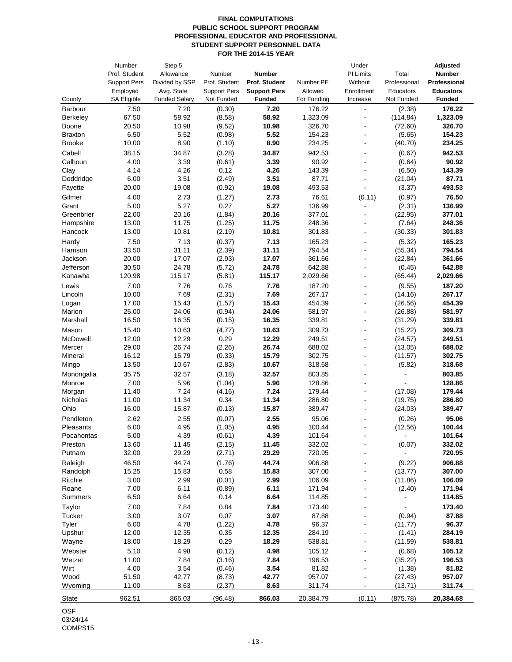#### **FINAL COMPUTATIONS PUBLIC SCHOOL SUPPORT PROGRAM PROFESSIONAL EDUCATOR AND PROFESSIONAL STUDENT SUPPORT PERSONNEL DATA FOR THE 2014-15 YEAR**

|                      | Number              | Step 5               |                     |                     |                  | Under                    |                   | Adjusted         |
|----------------------|---------------------|----------------------|---------------------|---------------------|------------------|--------------------------|-------------------|------------------|
|                      | Prof. Student       | Allowance            | Number              | <b>Number</b>       |                  | PI Limits                | Total             | <b>Number</b>    |
|                      | <b>Support Pers</b> | Divided by SSP       | Prof. Student       | Prof. Student       | Number PE        | Without                  | Professional      | Professional     |
|                      | Employed            | Avg. State           | <b>Support Pers</b> | <b>Support Pers</b> | Allowed          | Enrollment               | Educators         | <b>Educators</b> |
| County               | SA Eligible         | <b>Funded Salary</b> | Not Funded          | <b>Funded</b>       | For Funding      | Increase                 | Not Funded        | <b>Funded</b>    |
| Barbour              | 7.50                | 7.20                 | (0.30)              | 7.20                | 176.22           | $\overline{a}$           | (2.38)            | 176.22           |
| <b>Berkeley</b>      | 67.50               | 58.92                | (8.58)              | 58.92               | 1,323.09         |                          | (114.84)          | 1,323.09         |
| Boone                | 20.50               | 10.98                | (9.52)              | 10.98               | 326.70           | ÷,                       | (72.60)           | 326.70           |
| <b>Braxton</b>       | 6.50                | 5.52                 | (0.98)              | 5.52                | 154.23           | $\blacksquare$<br>ä,     | (5.65)            | 154.23           |
| <b>Brooke</b>        | 10.00               | 8.90                 | (1.10)              | 8.90                | 234.25           |                          | (40.70)           | 234.25           |
| Cabell               | 38.15               | 34.87                | (3.28)              | 34.87               | 942.53           | ÷.                       | (0.67)            | 942.53           |
| Calhoun              | 4.00<br>4.14        | 3.39                 | (0.61)              | 3.39<br>4.26        | 90.92            | $\blacksquare$           | (0.64)            | 90.92<br>143.39  |
| Clay<br>Doddridge    | 6.00                | 4.26<br>3.51         | 0.12<br>(2.49)      | 3.51                | 143.39<br>87.71  |                          | (6.50)<br>(21.04) | 87.71            |
| Fayette              | 20.00               | 19.08                | (0.92)              | 19.08               | 493.53           |                          | (3.37)            | 493.53           |
|                      | 4.00                |                      |                     | 2.73                | 76.61            |                          |                   | 76.50            |
| Gilmer<br>Grant      | 5.00                | 2.73<br>5.27         | (1.27)<br>0.27      | 5.27                | 136.99           | (0.11)<br>$\blacksquare$ | (0.97)<br>(2.31)  | 136.99           |
| Greenbrier           | 22.00               | 20.16                | (1.84)              | 20.16               | 377.01           | $\overline{a}$           | (22.95)           | 377.01           |
| Hampshire            | 13.00               | 11.75                | (1.25)              | 11.75               | 248.36           |                          | (7.64)            | 248.36           |
| Hancock              | 13.00               | 10.81                | (2.19)              | 10.81               | 301.83           |                          | (30.33)           | 301.83           |
| Hardy                | 7.50                | 7.13                 | (0.37)              | 7.13                | 165.23           | ä,                       | (5.32)            | 165.23           |
| Harrison             | 33.50               | 31.11                | (2.39)              | 31.11               | 794.54           | $\overline{a}$           | (55.34)           | 794.54           |
| Jackson              | 20.00               | 17.07                | (2.93)              | 17.07               | 361.66           | ÷                        | (22.84)           | 361.66           |
| Jefferson            | 30.50               | 24.78                | (5.72)              | 24.78               | 642.88           | $\blacksquare$           | (0.45)            | 642.88           |
| Kanawha              | 120.98              | 115.17               | (5.81)              | 115.17              | 2,029.66         |                          | (65.44)           | 2,029.66         |
| Lewis                | 7.00                | 7.76                 | 0.76                | 7.76                | 187.20           |                          | (9.55)            | 187.20           |
| Lincoln              | 10.00               | 7.69                 | (2.31)              | 7.69                | 267.17           | ä,                       | (14.16)           | 267.17           |
| Logan                | 17.00               | 15.43                | (1.57)              | 15.43               | 454.39           |                          | (26.56)           | 454.39           |
| Marion               | 25.00               | 24.06                | (0.94)              | 24.06               | 581.97           | $\overline{a}$           | (26.88)           | 581.97           |
| Marshall             | 16.50               | 16.35                | (0.15)              | 16.35               | 339.81           | $\overline{a}$           | (31.29)           | 339.81           |
| Mason                | 15.40               | 10.63                | (4.77)              | 10.63               | 309.73           | $\blacksquare$           | (15.22)           | 309.73           |
| McDowell             | 12.00               | 12.29                | 0.29                | 12.29               | 249.51           | ÷                        | (24.57)           | 249.51           |
| Mercer               | 29.00               | 26.74                | (2.26)              | 26.74               | 688.02           | ä,                       | (13.05)           | 688.02           |
| Mineral              | 16.12               | 15.79                | (0.33)              | 15.79               | 302.75           | ä,<br>÷,                 | (11.57)           | 302.75           |
| Mingo                | 13.50               | 10.67                | (2.83)              | 10.67               | 318.68           |                          | (5.82)            | 318.68           |
| Monongalia<br>Monroe | 35.75<br>7.00       | 32.57<br>5.96        | (3.18)<br>(1.04)    | 32.57<br>5.96       | 803.85<br>128.86 | ÷,                       |                   | 803.85<br>128.86 |
| Morgan               | 11.40               | 7.24                 | (4.16)              | 7.24                | 179.44           | $\overline{a}$           | (17.08)           | 179.44           |
| Nicholas             | 11.00               | 11.34                | 0.34                | 11.34               | 286.80           | $\overline{a}$           | (19.75)           | 286.80           |
| Ohio                 | 16.00               | 15.87                | (0.13)              | 15.87               | 389.47           |                          | (24.03)           | 389.47           |
| Pendleton            | 2.62                | 2.55                 | (0.07)              | 2.55                | 95.06            |                          | (0.26)            | 95.06            |
| Pleasants            | 6.00                | 4.95                 | (1.05)              | 4.95                | 100.44           |                          | (12.56)           | 100.44           |
| Pocahontas           | 5.00                | 4.39                 | (0.61)              | 4.39                | 101.64           |                          |                   | 101.64           |
| Preston              | 13.60               | 11.45                | (2.15)              | 11.45               | 332.02           |                          | (0.07)            | 332.02           |
| Putnam               | 32.00               | 29.29                | (2.71)              | 29.29               | 720.95           |                          | ä,                | 720.95           |
| Raleigh              | 46.50               | 44.74                | (1.76)              | 44.74               | 906.88           |                          | (9.22)            | 906.88           |
| Randolph             | 15.25               | 15.83                | 0.58                | 15.83               | 307.00           |                          | (13.77)           | 307.00           |
| Ritchie              | 3.00                | 2.99                 | (0.01)              | 2.99                | 106.09           |                          | (11.86)           | 106.09           |
| Roane                | 7.00                | 6.11                 | (0.89)              | 6.11                | 171.94           |                          | (2.40)            | 171.94           |
| Summers              | 6.50                | 6.64                 | 0.14                | 6.64                | 114.85           |                          |                   | 114.85           |
| Taylor               | 7.00                | 7.84                 | 0.84                | 7.84                | 173.40           |                          |                   | 173.40           |
| Tucker               | 3.00                | 3.07                 | 0.07                | 3.07                | 87.88            |                          | (0.94)            | 87.88            |
| Tyler                | 6.00                | 4.78                 | (1.22)              | 4.78                | 96.37            |                          | (11.77)           | 96.37            |
| Upshur               | 12.00               | 12.35                | 0.35<br>0.29        | 12.35               | 284.19           |                          | (1.41)<br>(11.59) | 284.19           |
| Wayne                | 18.00               | 18.29                |                     | 18.29               | 538.81           |                          |                   | 538.81           |
| Webster<br>Wetzel    | 5.10                | 4.98<br>7.84         | (0.12)              | 4.98<br>7.84        | 105.12           |                          | (0.68)            | 105.12<br>196.53 |
| Wirt                 | 11.00<br>4.00       | 3.54                 | (3.16)<br>(0.46)    | 3.54                | 196.53<br>81.82  |                          | (35.22)<br>(1.38) | 81.82            |
| Wood                 | 51.50               | 42.77                | (8.73)              | 42.77               | 957.07           |                          | (27.43)           | 957.07           |
| Wyoming              | 11.00               | 8.63                 | (2.37)              | 8.63                | 311.74           | ۰                        | (13.71)           | 311.74           |
| State                | 962.51              | 866.03               | (96.48)             | 866.03              | 20,384.79        | (0.11)                   | (875.78)          | 20,384.68        |
|                      |                     |                      |                     |                     |                  |                          |                   |                  |

OSF 03/24/14